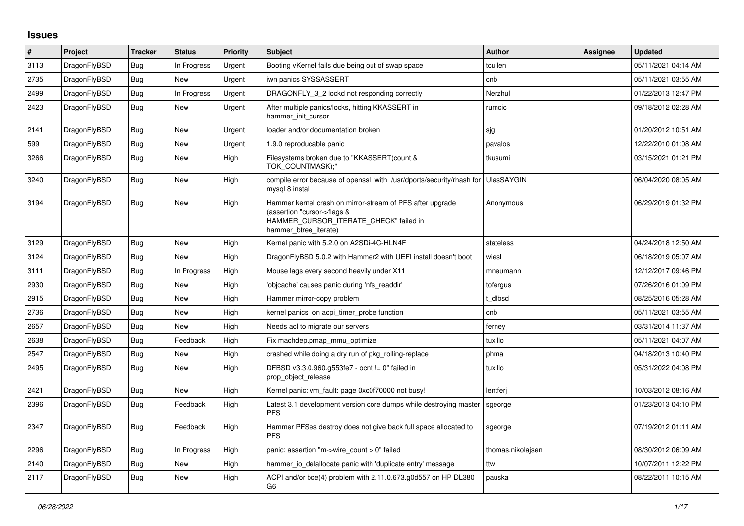## **Issues**

| $\vert$ # | Project      | <b>Tracker</b> | <b>Status</b> | <b>Priority</b> | <b>Subject</b>                                                                                                                                              | Author            | <b>Assignee</b> | <b>Updated</b>      |
|-----------|--------------|----------------|---------------|-----------------|-------------------------------------------------------------------------------------------------------------------------------------------------------------|-------------------|-----------------|---------------------|
| 3113      | DragonFlyBSD | <b>Bug</b>     | In Progress   | Urgent          | Booting vKernel fails due being out of swap space                                                                                                           | tcullen           |                 | 05/11/2021 04:14 AM |
| 2735      | DragonFlyBSD | Bug            | <b>New</b>    | Urgent          | iwn panics SYSSASSERT                                                                                                                                       | cnb               |                 | 05/11/2021 03:55 AM |
| 2499      | DragonFlyBSD | Bug            | In Progress   | Urgent          | DRAGONFLY 3 2 lockd not responding correctly                                                                                                                | Nerzhul           |                 | 01/22/2013 12:47 PM |
| 2423      | DragonFlyBSD | Bug            | <b>New</b>    | Urgent          | After multiple panics/locks, hitting KKASSERT in<br>hammer_init_cursor                                                                                      | rumcic            |                 | 09/18/2012 02:28 AM |
| 2141      | DragonFlyBSD | <b>Bug</b>     | <b>New</b>    | Urgent          | loader and/or documentation broken                                                                                                                          | sjg               |                 | 01/20/2012 10:51 AM |
| 599       | DragonFlyBSD | Bug            | New           | Urgent          | 1.9.0 reproducable panic                                                                                                                                    | pavalos           |                 | 12/22/2010 01:08 AM |
| 3266      | DragonFlyBSD | Bug            | New           | High            | Filesystems broken due to "KKASSERT(count &<br>TOK COUNTMASK);"                                                                                             | tkusumi           |                 | 03/15/2021 01:21 PM |
| 3240      | DragonFlyBSD | <b>Bug</b>     | New           | High            | compile error because of openssl with /usr/dports/security/rhash for<br>mysql 8 install                                                                     | <b>UlasSAYGIN</b> |                 | 06/04/2020 08:05 AM |
| 3194      | DragonFlyBSD | Bug            | <b>New</b>    | High            | Hammer kernel crash on mirror-stream of PFS after upgrade<br>(assertion "cursor->flags &<br>HAMMER_CURSOR_ITERATE_CHECK" failed in<br>hammer btree iterate) | Anonymous         |                 | 06/29/2019 01:32 PM |
| 3129      | DragonFlyBSD | <b>Bug</b>     | New           | High            | Kernel panic with 5.2.0 on A2SDi-4C-HLN4F                                                                                                                   | stateless         |                 | 04/24/2018 12:50 AM |
| 3124      | DragonFlyBSD | Bug            | New           | High            | DragonFlyBSD 5.0.2 with Hammer2 with UEFI install doesn't boot                                                                                              | wiesl             |                 | 06/18/2019 05:07 AM |
| 3111      | DragonFlyBSD | Bug            | In Progress   | High            | Mouse lags every second heavily under X11                                                                                                                   | mneumann          |                 | 12/12/2017 09:46 PM |
| 2930      | DragonFlyBSD | Bug            | <b>New</b>    | High            | 'obicache' causes panic during 'nfs readdir'                                                                                                                | tofergus          |                 | 07/26/2016 01:09 PM |
| 2915      | DragonFlyBSD | Bug            | New           | High            | Hammer mirror-copy problem                                                                                                                                  | t dfbsd           |                 | 08/25/2016 05:28 AM |
| 2736      | DragonFlyBSD | Bug            | New           | High            | kernel panics on acpi_timer_probe function                                                                                                                  | cnb               |                 | 05/11/2021 03:55 AM |
| 2657      | DragonFlyBSD | Bug            | <b>New</b>    | High            | Needs acl to migrate our servers                                                                                                                            | ferney            |                 | 03/31/2014 11:37 AM |
| 2638      | DragonFlyBSD | Bug            | Feedback      | High            | Fix machdep.pmap mmu optimize                                                                                                                               | tuxillo           |                 | 05/11/2021 04:07 AM |
| 2547      | DragonFlyBSD | Bug            | New           | High            | crashed while doing a dry run of pkg rolling-replace                                                                                                        | phma              |                 | 04/18/2013 10:40 PM |
| 2495      | DragonFlyBSD | Bug            | New           | High            | DFBSD v3.3.0.960.g553fe7 - ocnt != 0" failed in<br>prop_object_release                                                                                      | tuxillo           |                 | 05/31/2022 04:08 PM |
| 2421      | DragonFlyBSD | <b>Bug</b>     | <b>New</b>    | High            | Kernel panic: vm_fault: page 0xc0f70000 not busy!                                                                                                           | lentferi          |                 | 10/03/2012 08:16 AM |
| 2396      | DragonFlyBSD | Bug            | Feedback      | High            | Latest 3.1 development version core dumps while destroying master<br><b>PFS</b>                                                                             | sgeorge           |                 | 01/23/2013 04:10 PM |
| 2347      | DragonFlyBSD | Bug            | Feedback      | High            | Hammer PFSes destroy does not give back full space allocated to<br><b>PFS</b>                                                                               | sgeorge           |                 | 07/19/2012 01:11 AM |
| 2296      | DragonFlyBSD | Bug            | In Progress   | High            | panic: assertion "m->wire count > 0" failed                                                                                                                 | thomas.nikolajsen |                 | 08/30/2012 06:09 AM |
| 2140      | DragonFlyBSD | Bug            | New           | High            | hammer io delallocate panic with 'duplicate entry' message                                                                                                  | ttw               |                 | 10/07/2011 12:22 PM |
| 2117      | DragonFlyBSD | Bug            | New           | High            | ACPI and/or bce(4) problem with 2.11.0.673.g0d557 on HP DL380<br>G <sub>6</sub>                                                                             | pauska            |                 | 08/22/2011 10:15 AM |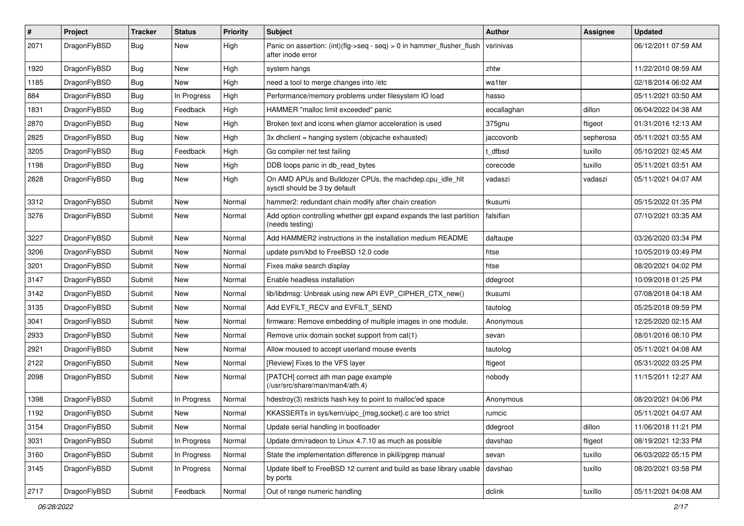| $\#$ | Project      | <b>Tracker</b> | <b>Status</b> | <b>Priority</b> | Subject                                                                                       | Author      | Assignee  | <b>Updated</b>      |
|------|--------------|----------------|---------------|-----------------|-----------------------------------------------------------------------------------------------|-------------|-----------|---------------------|
| 2071 | DragonFlyBSD | <b>Bug</b>     | New           | High            | Panic on assertion: $(int)(flag->seq - seq) > 0$ in hammer flusher flush<br>after inode error | vsrinivas   |           | 06/12/2011 07:59 AM |
| 1920 | DragonFlyBSD | <b>Bug</b>     | New           | High            | system hangs                                                                                  | zhtw        |           | 11/22/2010 08:59 AM |
| 1185 | DragonFlyBSD | <b>Bug</b>     | New           | High            | need a tool to merge changes into /etc                                                        | wa1ter      |           | 02/18/2014 06:02 AM |
| 884  | DragonFlyBSD | <b>Bug</b>     | In Progress   | High            | Performance/memory problems under filesystem IO load                                          | hasso       |           | 05/11/2021 03:50 AM |
| 1831 | DragonFlyBSD | <b>Bug</b>     | Feedback      | High            | HAMMER "malloc limit exceeded" panic                                                          | eocallaghan | dillon    | 06/04/2022 04:38 AM |
| 2870 | DragonFlyBSD | <b>Bug</b>     | <b>New</b>    | High            | Broken text and icons when glamor acceleration is used                                        | 375gnu      | ftigeot   | 01/31/2016 12:13 AM |
| 2825 | DragonFlyBSD | <b>Bug</b>     | New           | High            | 3x dhclient = hanging system (objcache exhausted)                                             | jaccovonb   | sepherosa | 05/11/2021 03:55 AM |
| 3205 | DragonFlyBSD | <b>Bug</b>     | Feedback      | High            | Go compiler net test failing                                                                  | t dfbsd     | tuxillo   | 05/10/2021 02:45 AM |
| 1198 | DragonFlyBSD | <b>Bug</b>     | New           | High            | DDB loops panic in db_read_bytes                                                              | corecode    | tuxillo   | 05/11/2021 03:51 AM |
| 2828 | DragonFlyBSD | <b>Bug</b>     | <b>New</b>    | High            | On AMD APUs and Bulldozer CPUs, the machdep.cpu_idle_hlt<br>sysctl should be 3 by default     | vadaszi     | vadaszi   | 05/11/2021 04:07 AM |
| 3312 | DragonFlyBSD | Submit         | <b>New</b>    | Normal          | hammer2: redundant chain modify after chain creation                                          | tkusumi     |           | 05/15/2022 01:35 PM |
| 3276 | DragonFlyBSD | Submit         | New           | Normal          | Add option controlling whether gpt expand expands the last partition<br>(needs testing)       | falsifian   |           | 07/10/2021 03:35 AM |
| 3227 | DragonFlyBSD | Submit         | <b>New</b>    | Normal          | Add HAMMER2 instructions in the installation medium README                                    | daftaupe    |           | 03/26/2020 03:34 PM |
| 3206 | DragonFlyBSD | Submit         | New           | Normal          | update psm/kbd to FreeBSD 12.0 code                                                           | htse        |           | 10/05/2019 03:49 PM |
| 3201 | DragonFlyBSD | Submit         | New           | Normal          | Fixes make search display                                                                     | htse        |           | 08/20/2021 04:02 PM |
| 3147 | DragonFlyBSD | Submit         | New           | Normal          | Enable headless installation                                                                  | ddegroot    |           | 10/09/2018 01:25 PM |
| 3142 | DragonFlyBSD | Submit         | New           | Normal          | lib/libdmsg: Unbreak using new API EVP CIPHER CTX new()                                       | tkusumi     |           | 07/08/2018 04:18 AM |
| 3135 | DragonFlyBSD | Submit         | New           | Normal          | Add EVFILT_RECV and EVFILT_SEND                                                               | tautolog    |           | 05/25/2018 09:59 PM |
| 3041 | DragonFlyBSD | Submit         | <b>New</b>    | Normal          | firmware: Remove embedding of multiple images in one module.                                  | Anonymous   |           | 12/25/2020 02:15 AM |
| 2933 | DragonFlyBSD | Submit         | <b>New</b>    | Normal          | Remove unix domain socket support from cat(1)                                                 | sevan       |           | 08/01/2016 08:10 PM |
| 2921 | DragonFlyBSD | Submit         | New           | Normal          | Allow moused to accept userland mouse events                                                  | tautolog    |           | 05/11/2021 04:08 AM |
| 2122 | DragonFlyBSD | Submit         | New           | Normal          | [Review] Fixes to the VFS layer                                                               | ftigeot     |           | 05/31/2022 03:25 PM |
| 2098 | DragonFlyBSD | Submit         | New           | Normal          | [PATCH] correct ath man page example<br>(/usr/src/share/man/man4/ath.4)                       | nobody      |           | 11/15/2011 12:27 AM |
| 1398 | DragonFlyBSD | Submit         | In Progress   | Normal          | hdestroy(3) restricts hash key to point to malloc'ed space                                    | Anonymous   |           | 08/20/2021 04:06 PM |
| 1192 | DragonFlyBSD | Submit         | New           | Normal          | KKASSERTs in sys/kern/uipc_{msg,socket}.c are too strict                                      | rumcic      |           | 05/11/2021 04:07 AM |
| 3154 | DragonFlyBSD | Submit         | New           | Normal          | Update serial handling in bootloader                                                          | ddegroot    | dillon    | 11/06/2018 11:21 PM |
| 3031 | DragonFlyBSD | Submit         | In Progress   | Normal          | Update drm/radeon to Linux 4.7.10 as much as possible                                         | davshao     | ftigeot   | 08/19/2021 12:33 PM |
| 3160 | DragonFlyBSD | Submit         | In Progress   | Normal          | State the implementation difference in pkill/pgrep manual                                     | sevan       | tuxillo   | 06/03/2022 05:15 PM |
| 3145 | DragonFlyBSD | Submit         | In Progress   | Normal          | Update libelf to FreeBSD 12 current and build as base library usable<br>by ports              | davshao     | tuxillo   | 08/20/2021 03:58 PM |
| 2717 | DragonFlyBSD | Submit         | Feedback      | Normal          | Out of range numeric handling                                                                 | dclink      | tuxillo   | 05/11/2021 04:08 AM |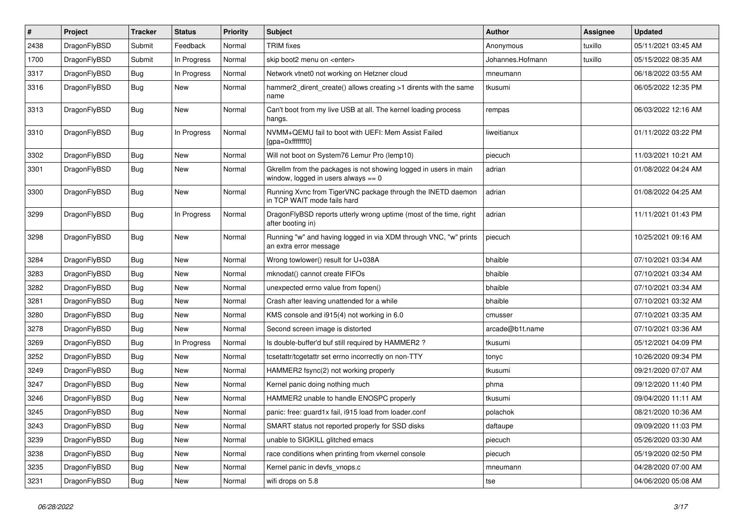| $\vert$ # | Project      | <b>Tracker</b> | <b>Status</b> | <b>Priority</b> | <b>Subject</b>                                                                                            | Author           | <b>Assignee</b> | <b>Updated</b>      |
|-----------|--------------|----------------|---------------|-----------------|-----------------------------------------------------------------------------------------------------------|------------------|-----------------|---------------------|
| 2438      | DragonFlyBSD | Submit         | Feedback      | Normal          | <b>TRIM</b> fixes                                                                                         | Anonymous        | tuxillo         | 05/11/2021 03:45 AM |
| 1700      | DragonFlyBSD | Submit         | In Progress   | Normal          | skip boot2 menu on <enter></enter>                                                                        | Johannes.Hofmann | tuxillo         | 05/15/2022 08:35 AM |
| 3317      | DragonFlyBSD | <b>Bug</b>     | In Progress   | Normal          | Network vtnet0 not working on Hetzner cloud                                                               | mneumann         |                 | 06/18/2022 03:55 AM |
| 3316      | DragonFlyBSD | <b>Bug</b>     | New           | Normal          | hammer2_dirent_create() allows creating >1 dirents with the same<br>name                                  | tkusumi          |                 | 06/05/2022 12:35 PM |
| 3313      | DragonFlyBSD | <b>Bug</b>     | New           | Normal          | Can't boot from my live USB at all. The kernel loading process<br>hangs.                                  | rempas           |                 | 06/03/2022 12:16 AM |
| 3310      | DragonFlyBSD | Bug            | In Progress   | Normal          | NVMM+QEMU fail to boot with UEFI: Mem Assist Failed<br>[gpa=0xfffffff0]                                   | liweitianux      |                 | 01/11/2022 03:22 PM |
| 3302      | DragonFlyBSD | Bug            | <b>New</b>    | Normal          | Will not boot on System76 Lemur Pro (lemp10)                                                              | piecuch          |                 | 11/03/2021 10:21 AM |
| 3301      | DragonFlyBSD | <b>Bug</b>     | New           | Normal          | Gkrellm from the packages is not showing logged in users in main<br>window, logged in users always $== 0$ | adrian           |                 | 01/08/2022 04:24 AM |
| 3300      | DragonFlyBSD | <b>Bug</b>     | New           | Normal          | Running Xvnc from TigerVNC package through the INETD daemon<br>in TCP WAIT mode fails hard                | adrian           |                 | 01/08/2022 04:25 AM |
| 3299      | DragonFlyBSD | Bug            | In Progress   | Normal          | DragonFlyBSD reports utterly wrong uptime (most of the time, right<br>after booting in)                   | adrian           |                 | 11/11/2021 01:43 PM |
| 3298      | DragonFlyBSD | Bug            | New           | Normal          | Running "w" and having logged in via XDM through VNC, "w" prints<br>an extra error message                | piecuch          |                 | 10/25/2021 09:16 AM |
| 3284      | DragonFlyBSD | Bug            | New           | Normal          | Wrong towlower() result for U+038A                                                                        | bhaible          |                 | 07/10/2021 03:34 AM |
| 3283      | DragonFlyBSD | Bug            | New           | Normal          | mknodat() cannot create FIFOs                                                                             | bhaible          |                 | 07/10/2021 03:34 AM |
| 3282      | DragonFlyBSD | Bug            | <b>New</b>    | Normal          | unexpected errno value from fopen()                                                                       | bhaible          |                 | 07/10/2021 03:34 AM |
| 3281      | DragonFlyBSD | <b>Bug</b>     | New           | Normal          | Crash after leaving unattended for a while                                                                | bhaible          |                 | 07/10/2021 03:32 AM |
| 3280      | DragonFlyBSD | Bug            | New           | Normal          | KMS console and i915(4) not working in 6.0                                                                | cmusser          |                 | 07/10/2021 03:35 AM |
| 3278      | DragonFlyBSD | <b>Bug</b>     | New           | Normal          | Second screen image is distorted                                                                          | arcade@b1t.name  |                 | 07/10/2021 03:36 AM |
| 3269      | DragonFlyBSD | <b>Bug</b>     | In Progress   | Normal          | Is double-buffer'd buf still required by HAMMER2 ?                                                        | tkusumi          |                 | 05/12/2021 04:09 PM |
| 3252      | DragonFlyBSD | Bug            | <b>New</b>    | Normal          | tcsetattr/tcgetattr set errno incorrectly on non-TTY                                                      | tonyc            |                 | 10/26/2020 09:34 PM |
| 3249      | DragonFlyBSD | <b>Bug</b>     | New           | Normal          | HAMMER2 fsync(2) not working properly                                                                     | tkusumi          |                 | 09/21/2020 07:07 AM |
| 3247      | DragonFlyBSD | <b>Bug</b>     | <b>New</b>    | Normal          | Kernel panic doing nothing much                                                                           | phma             |                 | 09/12/2020 11:40 PM |
| 3246      | DragonFlyBSD | <b>Bug</b>     | <b>New</b>    | Normal          | HAMMER2 unable to handle ENOSPC properly                                                                  | tkusumi          |                 | 09/04/2020 11:11 AM |
| 3245      | DragonFlyBSD | <b>Bug</b>     | New           | Normal          | panic: free: guard1x fail, i915 load from loader.conf                                                     | polachok         |                 | 08/21/2020 10:36 AM |
| 3243      | DragonFlyBSD | Bug            | New           | Normal          | SMART status not reported properly for SSD disks                                                          | daftaupe         |                 | 09/09/2020 11:03 PM |
| 3239      | DragonFlyBSD | <b>Bug</b>     | New           | Normal          | unable to SIGKILL glitched emacs                                                                          | piecuch          |                 | 05/26/2020 03:30 AM |
| 3238      | DragonFlyBSD | <b>Bug</b>     | New           | Normal          | race conditions when printing from vkernel console                                                        | piecuch          |                 | 05/19/2020 02:50 PM |
| 3235      | DragonFlyBSD | Bug            | New           | Normal          | Kernel panic in devfs_vnops.c                                                                             | mneumann         |                 | 04/28/2020 07:00 AM |
| 3231      | DragonFlyBSD | <b>Bug</b>     | New           | Normal          | wifi drops on 5.8                                                                                         | tse              |                 | 04/06/2020 05:08 AM |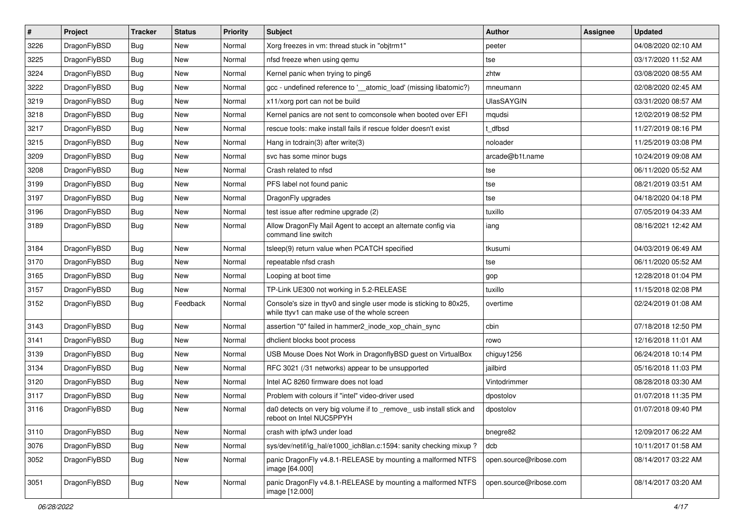| $\pmb{\#}$ | Project      | <b>Tracker</b> | <b>Status</b> | <b>Priority</b> | Subject                                                                                                            | <b>Author</b>          | Assignee | <b>Updated</b>      |
|------------|--------------|----------------|---------------|-----------------|--------------------------------------------------------------------------------------------------------------------|------------------------|----------|---------------------|
| 3226       | DragonFlyBSD | Bug            | New           | Normal          | Xorg freezes in vm: thread stuck in "objtrm1"                                                                      | peeter                 |          | 04/08/2020 02:10 AM |
| 3225       | DragonFlyBSD | Bug            | <b>New</b>    | Normal          | nfsd freeze when using gemu                                                                                        | tse                    |          | 03/17/2020 11:52 AM |
| 3224       | DragonFlyBSD | Bug            | New           | Normal          | Kernel panic when trying to ping6                                                                                  | zhtw                   |          | 03/08/2020 08:55 AM |
| 3222       | DragonFlyBSD | Bug            | <b>New</b>    | Normal          | gcc - undefined reference to '__atomic_load' (missing libatomic?)                                                  | mneumann               |          | 02/08/2020 02:45 AM |
| 3219       | DragonFlyBSD | Bug            | <b>New</b>    | Normal          | x11/xorg port can not be build                                                                                     | <b>UlasSAYGIN</b>      |          | 03/31/2020 08:57 AM |
| 3218       | DragonFlyBSD | Bug            | <b>New</b>    | Normal          | Kernel panics are not sent to comconsole when booted over EFI                                                      | mqudsi                 |          | 12/02/2019 08:52 PM |
| 3217       | DragonFlyBSD | Bug            | <b>New</b>    | Normal          | rescue tools: make install fails if rescue folder doesn't exist                                                    | t dfbsd                |          | 11/27/2019 08:16 PM |
| 3215       | DragonFlyBSD | Bug            | New           | Normal          | Hang in tcdrain(3) after write(3)                                                                                  | noloader               |          | 11/25/2019 03:08 PM |
| 3209       | DragonFlyBSD | Bug            | <b>New</b>    | Normal          | svc has some minor bugs                                                                                            | arcade@b1t.name        |          | 10/24/2019 09:08 AM |
| 3208       | DragonFlyBSD | Bug            | <b>New</b>    | Normal          | Crash related to nfsd                                                                                              | tse                    |          | 06/11/2020 05:52 AM |
| 3199       | DragonFlyBSD | Bug            | <b>New</b>    | Normal          | PFS label not found panic                                                                                          | tse                    |          | 08/21/2019 03:51 AM |
| 3197       | DragonFlyBSD | Bug            | <b>New</b>    | Normal          | DragonFly upgrades                                                                                                 | tse                    |          | 04/18/2020 04:18 PM |
| 3196       | DragonFlyBSD | Bug            | New           | Normal          | test issue after redmine upgrade (2)                                                                               | tuxillo                |          | 07/05/2019 04:33 AM |
| 3189       | DragonFlyBSD | Bug            | <b>New</b>    | Normal          | Allow DragonFly Mail Agent to accept an alternate config via<br>command line switch                                | iang                   |          | 08/16/2021 12:42 AM |
| 3184       | DragonFlyBSD | Bug            | <b>New</b>    | Normal          | tsleep(9) return value when PCATCH specified                                                                       | tkusumi                |          | 04/03/2019 06:49 AM |
| 3170       | DragonFlyBSD | Bug            | <b>New</b>    | Normal          | repeatable nfsd crash                                                                                              | tse                    |          | 06/11/2020 05:52 AM |
| 3165       | DragonFlyBSD | Bug            | <b>New</b>    | Normal          | Looping at boot time                                                                                               | gop                    |          | 12/28/2018 01:04 PM |
| 3157       | DragonFlyBSD | Bug            | New           | Normal          | TP-Link UE300 not working in 5.2-RELEASE                                                                           | tuxillo                |          | 11/15/2018 02:08 PM |
| 3152       | DragonFlyBSD | Bug            | Feedback      | Normal          | Console's size in ttyv0 and single user mode is sticking to 80x25,<br>while ttyv1 can make use of the whole screen | overtime               |          | 02/24/2019 01:08 AM |
| 3143       | DragonFlyBSD | Bug            | <b>New</b>    | Normal          | assertion "0" failed in hammer2_inode_xop_chain_sync                                                               | cbin                   |          | 07/18/2018 12:50 PM |
| 3141       | DragonFlyBSD | Bug            | <b>New</b>    | Normal          | dhclient blocks boot process                                                                                       | rowo                   |          | 12/16/2018 11:01 AM |
| 3139       | DragonFlyBSD | Bug            | New           | Normal          | USB Mouse Does Not Work in DragonflyBSD guest on VirtualBox                                                        | chiguy1256             |          | 06/24/2018 10:14 PM |
| 3134       | DragonFlyBSD | Bug            | <b>New</b>    | Normal          | RFC 3021 (/31 networks) appear to be unsupported                                                                   | jailbird               |          | 05/16/2018 11:03 PM |
| 3120       | DragonFlyBSD | Bug            | <b>New</b>    | Normal          | Intel AC 8260 firmware does not load                                                                               | Vintodrimmer           |          | 08/28/2018 03:30 AM |
| 3117       | DragonFlyBSD | Bug            | <b>New</b>    | Normal          | Problem with colours if "intel" video-driver used                                                                  | dpostolov              |          | 01/07/2018 11:35 PM |
| 3116       | DragonFlyBSD | Bug            | <b>New</b>    | Normal          | da0 detects on very big volume if to _remove_ usb install stick and<br>reboot on Intel NUC5PPYH                    | dpostolov              |          | 01/07/2018 09:40 PM |
| 3110       | DragonFlyBSD | Bug            | New           | Normal          | crash with ipfw3 under load                                                                                        | bnegre82               |          | 12/09/2017 06:22 AM |
| 3076       | DragonFlyBSD | Bug            | New           | Normal          | sys/dev/netif/ig_hal/e1000_ich8lan.c:1594: sanity checking mixup?                                                  | dcb                    |          | 10/11/2017 01:58 AM |
| 3052       | DragonFlyBSD | <b>Bug</b>     | New           | Normal          | panic DragonFly v4.8.1-RELEASE by mounting a malformed NTFS<br>image [64.000]                                      | open.source@ribose.com |          | 08/14/2017 03:22 AM |
| 3051       | DragonFlyBSD | Bug            | New           | Normal          | panic DragonFly v4.8.1-RELEASE by mounting a malformed NTFS<br>image [12.000]                                      | open.source@ribose.com |          | 08/14/2017 03:20 AM |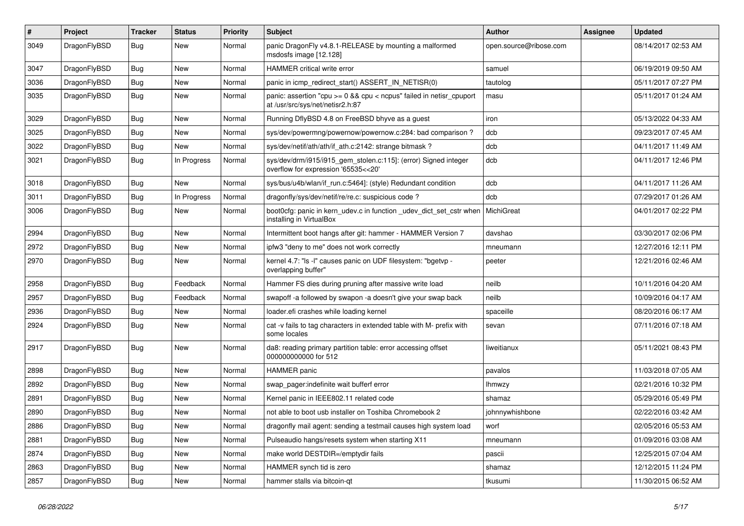| $\pmb{\#}$ | Project      | <b>Tracker</b> | <b>Status</b> | <b>Priority</b> | Subject                                                                                                 | <b>Author</b>          | <b>Assignee</b> | Updated             |
|------------|--------------|----------------|---------------|-----------------|---------------------------------------------------------------------------------------------------------|------------------------|-----------------|---------------------|
| 3049       | DragonFlyBSD | Bug            | New           | Normal          | panic DragonFly v4.8.1-RELEASE by mounting a malformed<br>msdosfs image [12.128]                        | open.source@ribose.com |                 | 08/14/2017 02:53 AM |
| 3047       | DragonFlyBSD | <b>Bug</b>     | <b>New</b>    | Normal          | <b>HAMMER</b> critical write error                                                                      | samuel                 |                 | 06/19/2019 09:50 AM |
| 3036       | DragonFlyBSD | Bug            | <b>New</b>    | Normal          | panic in icmp_redirect_start() ASSERT_IN_NETISR(0)                                                      | tautolog               |                 | 05/11/2017 07:27 PM |
| 3035       | DragonFlyBSD | Bug            | New           | Normal          | panic: assertion "cpu >= 0 && cpu < ncpus" failed in netisr_cpuport<br>at /usr/src/sys/net/netisr2.h:87 | masu                   |                 | 05/11/2017 01:24 AM |
| 3029       | DragonFlyBSD | Bug            | <b>New</b>    | Normal          | Running DflyBSD 4.8 on FreeBSD bhyve as a guest                                                         | iron                   |                 | 05/13/2022 04:33 AM |
| 3025       | DragonFlyBSD | Bug            | New           | Normal          | sys/dev/powermng/powernow/powernow.c:284: bad comparison?                                               | dcb                    |                 | 09/23/2017 07:45 AM |
| 3022       | DragonFlyBSD | Bug            | New           | Normal          | sys/dev/netif/ath/ath/if ath.c:2142: strange bitmask?                                                   | dcb                    |                 | 04/11/2017 11:49 AM |
| 3021       | DragonFlyBSD | Bug            | In Progress   | Normal          | sys/dev/drm/i915/i915_gem_stolen.c:115]: (error) Signed integer<br>overflow for expression '65535<<20'  | dcb                    |                 | 04/11/2017 12:46 PM |
| 3018       | DragonFlyBSD | Bug            | New           | Normal          | sys/bus/u4b/wlan/if_run.c:5464]: (style) Redundant condition                                            | dcb                    |                 | 04/11/2017 11:26 AM |
| 3011       | DragonFlyBSD | Bug            | In Progress   | Normal          | dragonfly/sys/dev/netif/re/re.c: suspicious code?                                                       | dcb                    |                 | 07/29/2017 01:26 AM |
| 3006       | DragonFlyBSD | Bug            | New           | Normal          | boot0cfg: panic in kern_udev.c in function _udev_dict_set_cstr when<br>installing in VirtualBox         | MichiGreat             |                 | 04/01/2017 02:22 PM |
| 2994       | DragonFlyBSD | <b>Bug</b>     | <b>New</b>    | Normal          | Intermittent boot hangs after git: hammer - HAMMER Version 7                                            | davshao                |                 | 03/30/2017 02:06 PM |
| 2972       | DragonFlyBSD | Bug            | <b>New</b>    | Normal          | ipfw3 "deny to me" does not work correctly                                                              | mneumann               |                 | 12/27/2016 12:11 PM |
| 2970       | DragonFlyBSD | Bug            | <b>New</b>    | Normal          | kernel 4.7: "Is -I" causes panic on UDF filesystem: "bgetvp -<br>overlapping buffer"                    | peeter                 |                 | 12/21/2016 02:46 AM |
| 2958       | DragonFlyBSD | Bug            | Feedback      | Normal          | Hammer FS dies during pruning after massive write load                                                  | neilb                  |                 | 10/11/2016 04:20 AM |
| 2957       | DragonFlyBSD | Bug            | Feedback      | Normal          | swapoff -a followed by swapon -a doesn't give your swap back                                            | neilb                  |                 | 10/09/2016 04:17 AM |
| 2936       | DragonFlyBSD | Bug            | New           | Normal          | loader.efi crashes while loading kernel                                                                 | spaceille              |                 | 08/20/2016 06:17 AM |
| 2924       | DragonFlyBSD | Bug            | New           | Normal          | cat -v fails to tag characters in extended table with M- prefix with<br>some locales                    | sevan                  |                 | 07/11/2016 07:18 AM |
| 2917       | DragonFlyBSD | Bug            | <b>New</b>    | Normal          | da8: reading primary partition table: error accessing offset<br>000000000000 for 512                    | liweitianux            |                 | 05/11/2021 08:43 PM |
| 2898       | DragonFlyBSD | <b>Bug</b>     | <b>New</b>    | Normal          | HAMMER panic                                                                                            | pavalos                |                 | 11/03/2018 07:05 AM |
| 2892       | DragonFlyBSD | Bug            | New           | Normal          | swap pager:indefinite wait bufferf error                                                                | lhmwzy                 |                 | 02/21/2016 10:32 PM |
| 2891       | DragonFlyBSD | Bug            | <b>New</b>    | Normal          | Kernel panic in IEEE802.11 related code                                                                 | shamaz                 |                 | 05/29/2016 05:49 PM |
| 2890       | DragonFlyBSD | Bug            | New           | Normal          | not able to boot usb installer on Toshiba Chromebook 2                                                  | johnnywhishbone        |                 | 02/22/2016 03:42 AM |
| 2886       | DragonFlyBSD | <b>Bug</b>     | New           | Normal          | dragonfly mail agent: sending a testmail causes high system load                                        | worf                   |                 | 02/05/2016 05:53 AM |
| 2881       | DragonFlyBSD | Bug            | New           | Normal          | Pulseaudio hangs/resets system when starting X11                                                        | mneumann               |                 | 01/09/2016 03:08 AM |
| 2874       | DragonFlyBSD | <b>Bug</b>     | New           | Normal          | make world DESTDIR=/emptydir fails                                                                      | pascii                 |                 | 12/25/2015 07:04 AM |
| 2863       | DragonFlyBSD | Bug            | New           | Normal          | HAMMER synch tid is zero                                                                                | shamaz                 |                 | 12/12/2015 11:24 PM |
| 2857       | DragonFlyBSD | Bug            | New           | Normal          | hammer stalls via bitcoin-qt                                                                            | tkusumi                |                 | 11/30/2015 06:52 AM |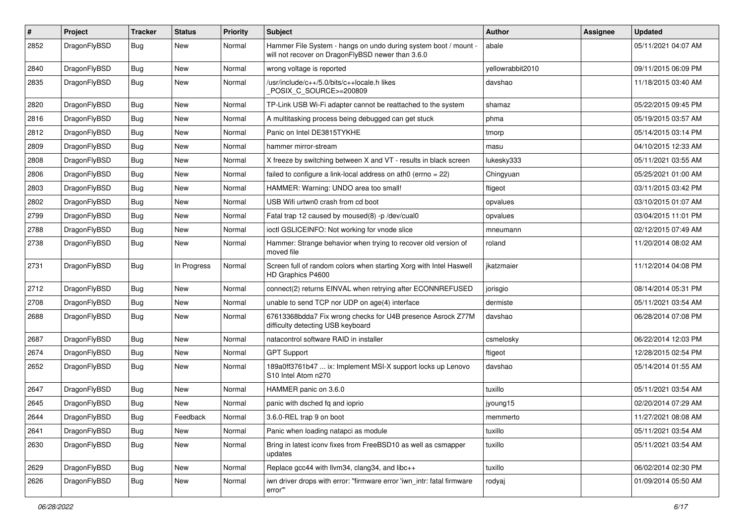| $\pmb{\#}$ | Project      | <b>Tracker</b> | <b>Status</b> | <b>Priority</b> | <b>Subject</b>                                                                                                       | Author           | Assignee | <b>Updated</b>      |
|------------|--------------|----------------|---------------|-----------------|----------------------------------------------------------------------------------------------------------------------|------------------|----------|---------------------|
| 2852       | DragonFlyBSD | Bug            | New           | Normal          | Hammer File System - hangs on undo during system boot / mount -<br>will not recover on DragonFlyBSD newer than 3.6.0 | abale            |          | 05/11/2021 04:07 AM |
| 2840       | DragonFlyBSD | <b>Bug</b>     | New           | Normal          | wrong voltage is reported                                                                                            | yellowrabbit2010 |          | 09/11/2015 06:09 PM |
| 2835       | DragonFlyBSD | Bug            | New           | Normal          | /usr/include/c++/5.0/bits/c++locale.h likes<br>POSIX_C_SOURCE>=200809                                                | davshao          |          | 11/18/2015 03:40 AM |
| 2820       | DragonFlyBSD | <b>Bug</b>     | New           | Normal          | TP-Link USB Wi-Fi adapter cannot be reattached to the system                                                         | shamaz           |          | 05/22/2015 09:45 PM |
| 2816       | DragonFlyBSD | <b>Bug</b>     | New           | Normal          | A multitasking process being debugged can get stuck                                                                  | phma             |          | 05/19/2015 03:57 AM |
| 2812       | DragonFlyBSD | <b>Bug</b>     | New           | Normal          | Panic on Intel DE3815TYKHE                                                                                           | tmorp            |          | 05/14/2015 03:14 PM |
| 2809       | DragonFlyBSD | <b>Bug</b>     | New           | Normal          | hammer mirror-stream                                                                                                 | masu             |          | 04/10/2015 12:33 AM |
| 2808       | DragonFlyBSD | <b>Bug</b>     | New           | Normal          | X freeze by switching between X and VT - results in black screen                                                     | lukesky333       |          | 05/11/2021 03:55 AM |
| 2806       | DragonFlyBSD | <b>Bug</b>     | New           | Normal          | failed to configure a link-local address on ath0 (errno = $22$ )                                                     | Chingyuan        |          | 05/25/2021 01:00 AM |
| 2803       | DragonFlyBSD | <b>Bug</b>     | New           | Normal          | HAMMER: Warning: UNDO area too small!                                                                                | ftigeot          |          | 03/11/2015 03:42 PM |
| 2802       | DragonFlyBSD | <b>Bug</b>     | New           | Normal          | USB Wifi urtwn0 crash from cd boot                                                                                   | opvalues         |          | 03/10/2015 01:07 AM |
| 2799       | DragonFlyBSD | <b>Bug</b>     | <b>New</b>    | Normal          | Fatal trap 12 caused by moused(8) -p /dev/cual0                                                                      | opvalues         |          | 03/04/2015 11:01 PM |
| 2788       | DragonFlyBSD | Bug            | New           | Normal          | ioctl GSLICEINFO: Not working for vnode slice                                                                        | mneumann         |          | 02/12/2015 07:49 AM |
| 2738       | DragonFlyBSD | Bug            | New           | Normal          | Hammer: Strange behavior when trying to recover old version of<br>moved file                                         | roland           |          | 11/20/2014 08:02 AM |
| 2731       | DragonFlyBSD | Bug            | In Progress   | Normal          | Screen full of random colors when starting Xorg with Intel Haswell<br>HD Graphics P4600                              | jkatzmaier       |          | 11/12/2014 04:08 PM |
| 2712       | DragonFlyBSD | Bug            | New           | Normal          | connect(2) returns EINVAL when retrying after ECONNREFUSED                                                           | jorisgio         |          | 08/14/2014 05:31 PM |
| 2708       | DragonFlyBSD | Bug            | New           | Normal          | unable to send TCP nor UDP on age(4) interface                                                                       | dermiste         |          | 05/11/2021 03:54 AM |
| 2688       | DragonFlyBSD | <b>Bug</b>     | New           | Normal          | 67613368bdda7 Fix wrong checks for U4B presence Asrock Z77M<br>difficulty detecting USB keyboard                     | davshao          |          | 06/28/2014 07:08 PM |
| 2687       | DragonFlyBSD | <b>Bug</b>     | New           | Normal          | natacontrol software RAID in installer                                                                               | csmelosky        |          | 06/22/2014 12:03 PM |
| 2674       | DragonFlyBSD | <b>Bug</b>     | New           | Normal          | <b>GPT Support</b>                                                                                                   | ftigeot          |          | 12/28/2015 02:54 PM |
| 2652       | DragonFlyBSD | Bug            | <b>New</b>    | Normal          | 189a0ff3761b47  ix: Implement MSI-X support locks up Lenovo<br>S10 Intel Atom n270                                   | davshao          |          | 05/14/2014 01:55 AM |
| 2647       | DragonFlyBSD | <b>Bug</b>     | New           | Normal          | HAMMER panic on 3.6.0                                                                                                | tuxillo          |          | 05/11/2021 03:54 AM |
| 2645       | DragonFlyBSD | <b>Bug</b>     | New           | Normal          | panic with dsched fq and ioprio                                                                                      | jyoung15         |          | 02/20/2014 07:29 AM |
| 2644       | DragonFlyBSD | Bug            | Feedback      | Normal          | 3.6.0-REL trap 9 on boot                                                                                             | memmerto         |          | 11/27/2021 08:08 AM |
| 2641       | DragonFlyBSD | Bug            | New           | Normal          | Panic when loading natapci as module                                                                                 | tuxillo          |          | 05/11/2021 03:54 AM |
| 2630       | DragonFlyBSD | Bug            | New           | Normal          | Bring in latest iconv fixes from FreeBSD10 as well as csmapper<br>updates                                            | tuxillo          |          | 05/11/2021 03:54 AM |
| 2629       | DragonFlyBSD | Bug            | <b>New</b>    | Normal          | Replace gcc44 with llvm34, clang34, and libc++                                                                       | tuxillo          |          | 06/02/2014 02:30 PM |
| 2626       | DragonFlyBSD | Bug            | New           | Normal          | iwn driver drops with error: "firmware error 'iwn_intr: fatal firmware<br>error""                                    | rodyaj           |          | 01/09/2014 05:50 AM |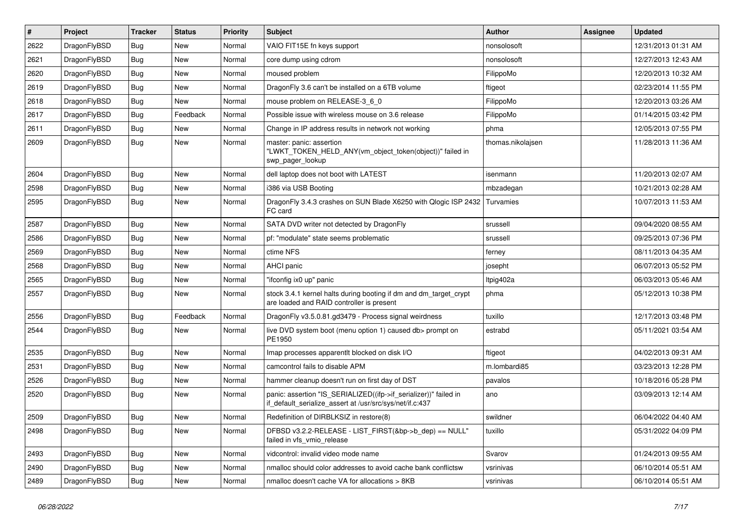| $\vert$ # | Project      | <b>Tracker</b> | <b>Status</b> | <b>Priority</b> | <b>Subject</b>                                                                                                               | Author            | <b>Assignee</b> | <b>Updated</b>      |
|-----------|--------------|----------------|---------------|-----------------|------------------------------------------------------------------------------------------------------------------------------|-------------------|-----------------|---------------------|
| 2622      | DragonFlyBSD | Bug            | <b>New</b>    | Normal          | VAIO FIT15E fn keys support                                                                                                  | nonsolosoft       |                 | 12/31/2013 01:31 AM |
| 2621      | DragonFlyBSD | <b>Bug</b>     | <b>New</b>    | Normal          | core dump using cdrom                                                                                                        | nonsolosoft       |                 | 12/27/2013 12:43 AM |
| 2620      | DragonFlyBSD | <b>Bug</b>     | <b>New</b>    | Normal          | moused problem                                                                                                               | FilippoMo         |                 | 12/20/2013 10:32 AM |
| 2619      | DragonFlyBSD | Bug            | <b>New</b>    | Normal          | DragonFly 3.6 can't be installed on a 6TB volume                                                                             | ftigeot           |                 | 02/23/2014 11:55 PM |
| 2618      | DragonFlyBSD | Bug            | <b>New</b>    | Normal          | mouse problem on RELEASE-3 6 0                                                                                               | FilippoMo         |                 | 12/20/2013 03:26 AM |
| 2617      | DragonFlyBSD | <b>Bug</b>     | Feedback      | Normal          | Possible issue with wireless mouse on 3.6 release                                                                            | FilippoMo         |                 | 01/14/2015 03:42 PM |
| 2611      | DragonFlyBSD | Bug            | <b>New</b>    | Normal          | Change in IP address results in network not working                                                                          | phma              |                 | 12/05/2013 07:55 PM |
| 2609      | DragonFlyBSD | Bug            | New           | Normal          | master: panic: assertion<br>"LWKT_TOKEN_HELD_ANY(vm_object_token(object))" failed in<br>swp_pager_lookup                     | thomas.nikolajsen |                 | 11/28/2013 11:36 AM |
| 2604      | DragonFlyBSD | <b>Bug</b>     | <b>New</b>    | Normal          | dell laptop does not boot with LATEST                                                                                        | isenmann          |                 | 11/20/2013 02:07 AM |
| 2598      | DragonFlyBSD | Bug            | <b>New</b>    | Normal          | i386 via USB Booting                                                                                                         | mbzadegan         |                 | 10/21/2013 02:28 AM |
| 2595      | DragonFlyBSD | Bug            | <b>New</b>    | Normal          | DragonFly 3.4.3 crashes on SUN Blade X6250 with Qlogic ISP 2432<br>FC card                                                   | Turvamies         |                 | 10/07/2013 11:53 AM |
| 2587      | DragonFlyBSD | Bug            | <b>New</b>    | Normal          | SATA DVD writer not detected by DragonFly                                                                                    | srussell          |                 | 09/04/2020 08:55 AM |
| 2586      | DragonFlyBSD | <b>Bug</b>     | <b>New</b>    | Normal          | pf: "modulate" state seems problematic                                                                                       | srussell          |                 | 09/25/2013 07:36 PM |
| 2569      | DragonFlyBSD | Bug            | <b>New</b>    | Normal          | ctime NFS                                                                                                                    | ferney            |                 | 08/11/2013 04:35 AM |
| 2568      | DragonFlyBSD | <b>Bug</b>     | <b>New</b>    | Normal          | <b>AHCI</b> panic                                                                                                            | josepht           |                 | 06/07/2013 05:52 PM |
| 2565      | DragonFlyBSD | Bug            | <b>New</b>    | Normal          | "ifconfig ix0 up" panic                                                                                                      | Itpig402a         |                 | 06/03/2013 05:46 AM |
| 2557      | DragonFlyBSD | Bug            | New           | Normal          | stock 3.4.1 kernel halts during booting if dm and dm_target_crypt<br>are loaded and RAID controller is present               | phma              |                 | 05/12/2013 10:38 PM |
| 2556      | DragonFlyBSD | <b>Bug</b>     | Feedback      | Normal          | DragonFly v3.5.0.81.gd3479 - Process signal weirdness                                                                        | tuxillo           |                 | 12/17/2013 03:48 PM |
| 2544      | DragonFlyBSD | <b>Bug</b>     | <b>New</b>    | Normal          | live DVD system boot (menu option 1) caused db> prompt on<br>PE1950                                                          | estrabd           |                 | 05/11/2021 03:54 AM |
| 2535      | DragonFlyBSD | Bug            | <b>New</b>    | Normal          | Imap processes apparentlt blocked on disk I/O                                                                                | ftigeot           |                 | 04/02/2013 09:31 AM |
| 2531      | DragonFlyBSD | Bug            | <b>New</b>    | Normal          | camcontrol fails to disable APM                                                                                              | m.lombardi85      |                 | 03/23/2013 12:28 PM |
| 2526      | DragonFlyBSD | <b>Bug</b>     | <b>New</b>    | Normal          | hammer cleanup doesn't run on first day of DST                                                                               | pavalos           |                 | 10/18/2016 05:28 PM |
| 2520      | DragonFlyBSD | Bug            | New           | Normal          | panic: assertion "IS_SERIALIZED((ifp->if_serializer))" failed in<br>if_default_serialize_assert at /usr/src/sys/net/if.c:437 | ano               |                 | 03/09/2013 12:14 AM |
| 2509      | DragonFlyBSD | <b>Bug</b>     | New           | Normal          | Redefinition of DIRBLKSIZ in restore(8)                                                                                      | swildner          |                 | 06/04/2022 04:40 AM |
| 2498      | DragonFlyBSD | Bug            | New           | Normal          | DFBSD v3.2.2-RELEASE - LIST_FIRST(&bp->b_dep) == NULL"<br>failed in vfs vmio release                                         | tuxillo           |                 | 05/31/2022 04:09 PM |
| 2493      | DragonFlyBSD | <b>Bug</b>     | New           | Normal          | vidcontrol: invalid video mode name                                                                                          | Svarov            |                 | 01/24/2013 09:55 AM |
| 2490      | DragonFlyBSD | <b>Bug</b>     | New           | Normal          | nmalloc should color addresses to avoid cache bank conflictsw                                                                | vsrinivas         |                 | 06/10/2014 05:51 AM |
| 2489      | DragonFlyBSD | <b>Bug</b>     | New           | Normal          | nmalloc doesn't cache VA for allocations > 8KB                                                                               | vsrinivas         |                 | 06/10/2014 05:51 AM |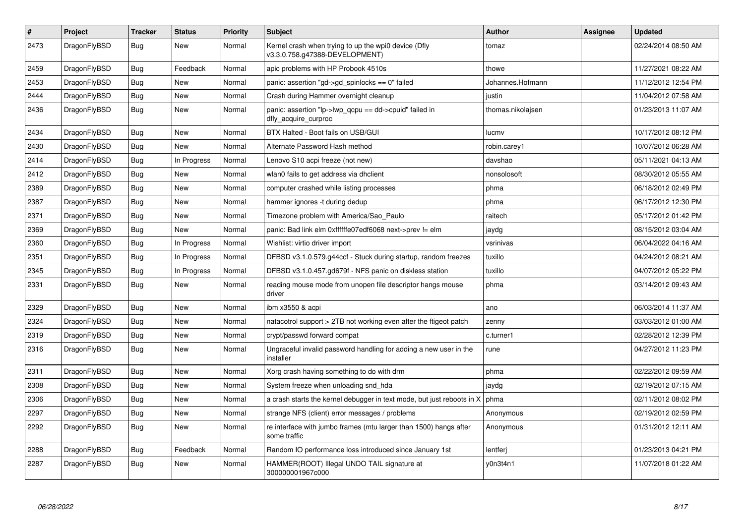| $\vert$ # | Project      | <b>Tracker</b> | <b>Status</b> | <b>Priority</b> | <b>Subject</b>                                                                         | <b>Author</b>     | Assignee | <b>Updated</b>      |
|-----------|--------------|----------------|---------------|-----------------|----------------------------------------------------------------------------------------|-------------------|----------|---------------------|
| 2473      | DragonFlyBSD | <b>Bug</b>     | <b>New</b>    | Normal          | Kernel crash when trying to up the wpi0 device (Dfly<br>v3.3.0.758.g47388-DEVELOPMENT) | tomaz             |          | 02/24/2014 08:50 AM |
| 2459      | DragonFlyBSD | Bug            | Feedback      | Normal          | apic problems with HP Probook 4510s                                                    | thowe             |          | 11/27/2021 08:22 AM |
| 2453      | DragonFlyBSD | Bug            | New           | Normal          | panic: assertion "gd->gd_spinlocks == 0" failed                                        | Johannes.Hofmann  |          | 11/12/2012 12:54 PM |
| 2444      | DragonFlyBSD | Bug            | New           | Normal          | Crash during Hammer overnight cleanup                                                  | justin            |          | 11/04/2012 07:58 AM |
| 2436      | DragonFlyBSD | <b>Bug</b>     | New           | Normal          | panic: assertion "lp->lwp_qcpu == dd->cpuid" failed in<br>dfly acquire curproc         | thomas.nikolajsen |          | 01/23/2013 11:07 AM |
| 2434      | DragonFlyBSD | Bug            | <b>New</b>    | Normal          | BTX Halted - Boot fails on USB/GUI                                                     | lucmy             |          | 10/17/2012 08:12 PM |
| 2430      | DragonFlyBSD | <b>Bug</b>     | New           | Normal          | Alternate Password Hash method                                                         | robin.carey1      |          | 10/07/2012 06:28 AM |
| 2414      | DragonFlyBSD | <b>Bug</b>     | In Progress   | Normal          | Lenovo S10 acpi freeze (not new)                                                       | davshao           |          | 05/11/2021 04:13 AM |
| 2412      | DragonFlyBSD | <b>Bug</b>     | New           | Normal          | wlan0 fails to get address via dhclient                                                | nonsolosoft       |          | 08/30/2012 05:55 AM |
| 2389      | DragonFlyBSD | <b>Bug</b>     | <b>New</b>    | Normal          | computer crashed while listing processes                                               | phma              |          | 06/18/2012 02:49 PM |
| 2387      | DragonFlyBSD | <b>Bug</b>     | <b>New</b>    | Normal          | hammer ignores -t during dedup                                                         | phma              |          | 06/17/2012 12:30 PM |
| 2371      | DragonFlyBSD | <b>Bug</b>     | <b>New</b>    | Normal          | Timezone problem with America/Sao Paulo                                                | raitech           |          | 05/17/2012 01:42 PM |
| 2369      | DragonFlyBSD | Bug            | New           | Normal          | panic: Bad link elm 0xffffffe07edf6068 next->prev != elm                               | jaydg             |          | 08/15/2012 03:04 AM |
| 2360      | DragonFlyBSD | <b>Bug</b>     | In Progress   | Normal          | Wishlist: virtio driver import                                                         | vsrinivas         |          | 06/04/2022 04:16 AM |
| 2351      | DragonFlyBSD | <b>Bug</b>     | In Progress   | Normal          | DFBSD v3.1.0.579.g44ccf - Stuck during startup, random freezes                         | tuxillo           |          | 04/24/2012 08:21 AM |
| 2345      | DragonFlyBSD | <b>Bug</b>     | In Progress   | Normal          | DFBSD v3.1.0.457.gd679f - NFS panic on diskless station                                | tuxillo           |          | 04/07/2012 05:22 PM |
| 2331      | DragonFlyBSD | <b>Bug</b>     | New           | Normal          | reading mouse mode from unopen file descriptor hangs mouse<br>driver                   | phma              |          | 03/14/2012 09:43 AM |
| 2329      | DragonFlyBSD | <b>Bug</b>     | New           | Normal          | ibm x3550 & acpi                                                                       | ano               |          | 06/03/2014 11:37 AM |
| 2324      | DragonFlyBSD | Bug            | New           | Normal          | natacotrol support > 2TB not working even after the ftigeot patch                      | zenny             |          | 03/03/2012 01:00 AM |
| 2319      | DragonFlyBSD | <b>Bug</b>     | New           | Normal          | crypt/passwd forward compat                                                            | c.turner1         |          | 02/28/2012 12:39 PM |
| 2316      | DragonFlyBSD | Bug            | New           | Normal          | Ungraceful invalid password handling for adding a new user in the<br>installer         | rune              |          | 04/27/2012 11:23 PM |
| 2311      | DragonFlyBSD | Bug            | New           | Normal          | Xorg crash having something to do with drm                                             | phma              |          | 02/22/2012 09:59 AM |
| 2308      | DragonFlyBSD | Bug            | New           | Normal          | System freeze when unloading snd hda                                                   | jaydg             |          | 02/19/2012 07:15 AM |
| 2306      | DragonFlyBSD | Bug            | <b>New</b>    | Normal          | a crash starts the kernel debugger in text mode, but just reboots in X                 | phma              |          | 02/11/2012 08:02 PM |
| 2297      | DragonFlyBSD | <b>Bug</b>     | <b>New</b>    | Normal          | strange NFS (client) error messages / problems                                         | Anonymous         |          | 02/19/2012 02:59 PM |
| 2292      | DragonFlyBSD | <b>Bug</b>     | <b>New</b>    | Normal          | re interface with jumbo frames (mtu larger than 1500) hangs after<br>some traffic      | Anonymous         |          | 01/31/2012 12:11 AM |
| 2288      | DragonFlyBSD | <b>Bug</b>     | Feedback      | Normal          | Random IO performance loss introduced since January 1st                                | lentferj          |          | 01/23/2013 04:21 PM |
| 2287      | DragonFlyBSD | Bug            | <b>New</b>    | Normal          | HAMMER(ROOT) Illegal UNDO TAIL signature at<br>300000001967c000                        | y0n3t4n1          |          | 11/07/2018 01:22 AM |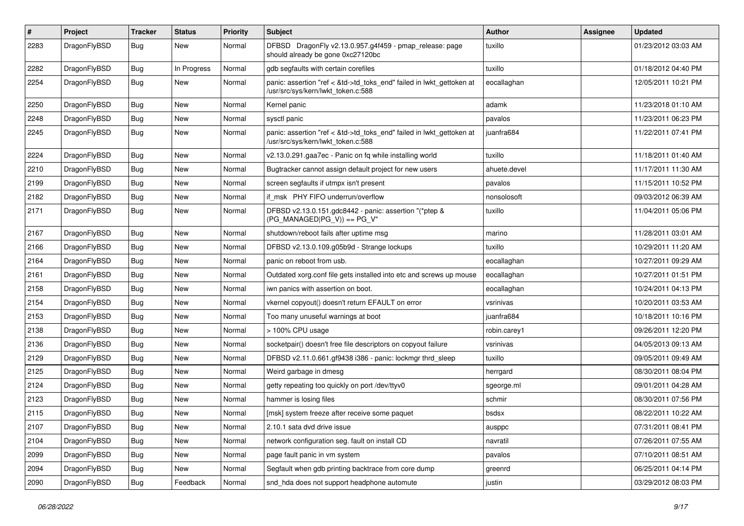| #    | Project      | <b>Tracker</b> | <b>Status</b> | <b>Priority</b> | Subject                                                                                                    | <b>Author</b> | Assignee | <b>Updated</b>      |
|------|--------------|----------------|---------------|-----------------|------------------------------------------------------------------------------------------------------------|---------------|----------|---------------------|
| 2283 | DragonFlyBSD | Bug            | New           | Normal          | DFBSD DragonFly v2.13.0.957.g4f459 - pmap_release: page<br>should already be gone 0xc27120bc               | tuxillo       |          | 01/23/2012 03:03 AM |
| 2282 | DragonFlyBSD | <b>Bug</b>     | In Progress   | Normal          | gdb segfaults with certain corefiles                                                                       | tuxillo       |          | 01/18/2012 04:40 PM |
| 2254 | DragonFlyBSD | <b>Bug</b>     | <b>New</b>    | Normal          | panic: assertion "ref < &td->td_toks_end" failed in lwkt_gettoken at<br>/usr/src/sys/kern/lwkt_token.c:588 | eocallaghan   |          | 12/05/2011 10:21 PM |
| 2250 | DragonFlyBSD | <b>Bug</b>     | <b>New</b>    | Normal          | Kernel panic                                                                                               | adamk         |          | 11/23/2018 01:10 AM |
| 2248 | DragonFlyBSD | <b>Bug</b>     | <b>New</b>    | Normal          | sysctl panic                                                                                               | pavalos       |          | 11/23/2011 06:23 PM |
| 2245 | DragonFlyBSD | Bug            | <b>New</b>    | Normal          | panic: assertion "ref < &td->td_toks_end" failed in lwkt_gettoken at<br>/usr/src/sys/kern/lwkt_token.c:588 | juanfra684    |          | 11/22/2011 07:41 PM |
| 2224 | DragonFlyBSD | Bug            | <b>New</b>    | Normal          | v2.13.0.291.gaa7ec - Panic on fq while installing world                                                    | tuxillo       |          | 11/18/2011 01:40 AM |
| 2210 | DragonFlyBSD | Bug            | New           | Normal          | Bugtracker cannot assign default project for new users                                                     | ahuete.devel  |          | 11/17/2011 11:30 AM |
| 2199 | DragonFlyBSD | <b>Bug</b>     | New           | Normal          | screen segfaults if utmpx isn't present                                                                    | pavalos       |          | 11/15/2011 10:52 PM |
| 2182 | DragonFlyBSD | <b>Bug</b>     | <b>New</b>    | Normal          | if msk PHY FIFO underrun/overflow                                                                          | nonsolosoft   |          | 09/03/2012 06:39 AM |
| 2171 | DragonFlyBSD | Bug            | New           | Normal          | DFBSD v2.13.0.151.gdc8442 - panic: assertion "(*ptep &<br>$(PG_MANAGED PG_V)) == PG_V"$                    | tuxillo       |          | 11/04/2011 05:06 PM |
| 2167 | DragonFlyBSD | Bug            | <b>New</b>    | Normal          | shutdown/reboot fails after uptime msg                                                                     | marino        |          | 11/28/2011 03:01 AM |
| 2166 | DragonFlyBSD | <b>Bug</b>     | New           | Normal          | DFBSD v2.13.0.109.g05b9d - Strange lockups                                                                 | tuxillo       |          | 10/29/2011 11:20 AM |
| 2164 | DragonFlyBSD | Bug            | <b>New</b>    | Normal          | panic on reboot from usb.                                                                                  | eocallaghan   |          | 10/27/2011 09:29 AM |
| 2161 | DragonFlyBSD | Bug            | New           | Normal          | Outdated xorg.conf file gets installed into etc and screws up mouse                                        | eocallaghan   |          | 10/27/2011 01:51 PM |
| 2158 | DragonFlyBSD | <b>Bug</b>     | New           | Normal          | iwn panics with assertion on boot.                                                                         | eocallaghan   |          | 10/24/2011 04:13 PM |
| 2154 | DragonFlyBSD | <b>Bug</b>     | New           | Normal          | vkernel copyout() doesn't return EFAULT on error                                                           | vsrinivas     |          | 10/20/2011 03:53 AM |
| 2153 | DragonFlyBSD | <b>Bug</b>     | New           | Normal          | Too many unuseful warnings at boot                                                                         | juanfra684    |          | 10/18/2011 10:16 PM |
| 2138 | DragonFlyBSD | <b>Bug</b>     | New           | Normal          | > 100% CPU usage                                                                                           | robin.carey1  |          | 09/26/2011 12:20 PM |
| 2136 | DragonFlyBSD | Bug            | <b>New</b>    | Normal          | socketpair() doesn't free file descriptors on copyout failure                                              | vsrinivas     |          | 04/05/2013 09:13 AM |
| 2129 | DragonFlyBSD | <b>Bug</b>     | New           | Normal          | DFBSD v2.11.0.661.gf9438 i386 - panic: lockmgr thrd sleep                                                  | tuxillo       |          | 09/05/2011 09:49 AM |
| 2125 | DragonFlyBSD | <b>Bug</b>     | <b>New</b>    | Normal          | Weird garbage in dmesg                                                                                     | herrgard      |          | 08/30/2011 08:04 PM |
| 2124 | DragonFlyBSD | <b>Bug</b>     | New           | Normal          | getty repeating too quickly on port /dev/ttyv0                                                             | sgeorge.ml    |          | 09/01/2011 04:28 AM |
| 2123 | DragonFlyBSD | <b>Bug</b>     | New           | Normal          | hammer is losing files                                                                                     | schmir        |          | 08/30/2011 07:56 PM |
| 2115 | DragonFlyBSD | <b>Bug</b>     | <b>New</b>    | Normal          | [msk] system freeze after receive some paquet                                                              | bsdsx         |          | 08/22/2011 10:22 AM |
| 2107 | DragonFlyBSD | <b>Bug</b>     | New           | Normal          | 2.10.1 sata dvd drive issue                                                                                | ausppc        |          | 07/31/2011 08:41 PM |
| 2104 | DragonFlyBSD | <b>Bug</b>     | New           | Normal          | network configuration seg. fault on install CD                                                             | navratil      |          | 07/26/2011 07:55 AM |
| 2099 | DragonFlyBSD | <b>Bug</b>     | New           | Normal          | page fault panic in vm system                                                                              | pavalos       |          | 07/10/2011 08:51 AM |
| 2094 | DragonFlyBSD | <b>Bug</b>     | New           | Normal          | Segfault when gdb printing backtrace from core dump                                                        | greenrd       |          | 06/25/2011 04:14 PM |
| 2090 | DragonFlyBSD | <b>Bug</b>     | Feedback      | Normal          | snd_hda does not support headphone automute                                                                | justin        |          | 03/29/2012 08:03 PM |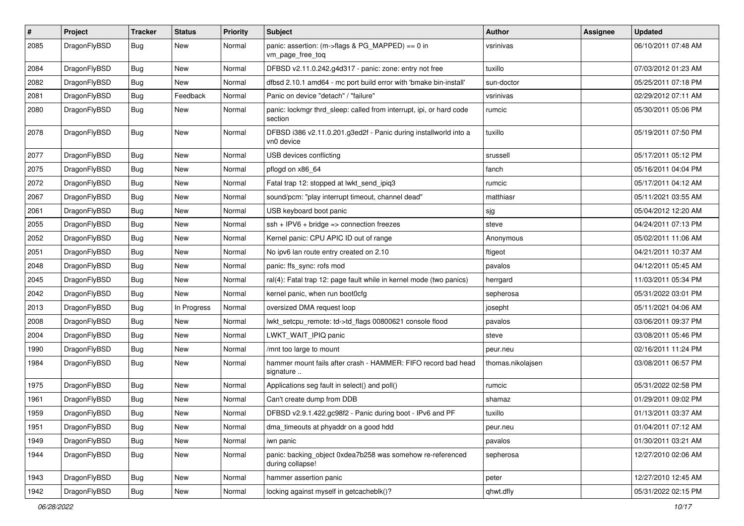| $\sharp$ | Project      | <b>Tracker</b> | <b>Status</b> | <b>Priority</b> | Subject                                                                        | Author            | Assignee | <b>Updated</b>      |
|----------|--------------|----------------|---------------|-----------------|--------------------------------------------------------------------------------|-------------------|----------|---------------------|
| 2085     | DragonFlyBSD | Bug            | <b>New</b>    | Normal          | panic: assertion: (m->flags & PG_MAPPED) == 0 in<br>vm_page_free_toq           | vsrinivas         |          | 06/10/2011 07:48 AM |
| 2084     | DragonFlyBSD | Bug            | New           | Normal          | DFBSD v2.11.0.242.g4d317 - panic: zone: entry not free                         | tuxillo           |          | 07/03/2012 01:23 AM |
| 2082     | DragonFlyBSD | <b>Bug</b>     | New           | Normal          | dfbsd 2.10.1 amd64 - mc port build error with 'bmake bin-install'              | sun-doctor        |          | 05/25/2011 07:18 PM |
| 2081     | DragonFlyBSD | Bug            | Feedback      | Normal          | Panic on device "detach" / "failure"                                           | vsrinivas         |          | 02/29/2012 07:11 AM |
| 2080     | DragonFlyBSD | <b>Bug</b>     | New           | Normal          | panic: lockmgr thrd_sleep: called from interrupt, ipi, or hard code<br>section | rumcic            |          | 05/30/2011 05:06 PM |
| 2078     | DragonFlyBSD | Bug            | <b>New</b>    | Normal          | DFBSD i386 v2.11.0.201.g3ed2f - Panic during installworld into a<br>vn0 device | tuxillo           |          | 05/19/2011 07:50 PM |
| 2077     | DragonFlyBSD | Bug            | <b>New</b>    | Normal          | USB devices conflicting                                                        | srussell          |          | 05/17/2011 05:12 PM |
| 2075     | DragonFlyBSD | Bug            | <b>New</b>    | Normal          | pflogd on x86_64                                                               | fanch             |          | 05/16/2011 04:04 PM |
| 2072     | DragonFlyBSD | <b>Bug</b>     | New           | Normal          | Fatal trap 12: stopped at lwkt_send_ipiq3                                      | rumcic            |          | 05/17/2011 04:12 AM |
| 2067     | DragonFlyBSD | Bug            | <b>New</b>    | Normal          | sound/pcm: "play interrupt timeout, channel dead"                              | matthiasr         |          | 05/11/2021 03:55 AM |
| 2061     | DragonFlyBSD | Bug            | <b>New</b>    | Normal          | USB keyboard boot panic                                                        | sjg               |          | 05/04/2012 12:20 AM |
| 2055     | DragonFlyBSD | Bug            | <b>New</b>    | Normal          | $ssh + IPV6 + bridge \Rightarrow connection freezes$                           | steve             |          | 04/24/2011 07:13 PM |
| 2052     | DragonFlyBSD | <b>Bug</b>     | <b>New</b>    | Normal          | Kernel panic: CPU APIC ID out of range                                         | Anonymous         |          | 05/02/2011 11:06 AM |
| 2051     | DragonFlyBSD | Bug            | New           | Normal          | No ipv6 lan route entry created on 2.10                                        | ftigeot           |          | 04/21/2011 10:37 AM |
| 2048     | DragonFlyBSD | Bug            | New           | Normal          | panic: ffs_sync: rofs mod                                                      | pavalos           |          | 04/12/2011 05:45 AM |
| 2045     | DragonFlyBSD | <b>Bug</b>     | New           | Normal          | ral(4): Fatal trap 12: page fault while in kernel mode (two panics)            | herrgard          |          | 11/03/2011 05:34 PM |
| 2042     | DragonFlyBSD | <b>Bug</b>     | <b>New</b>    | Normal          | kernel panic, when run boot0cfg                                                | sepherosa         |          | 05/31/2022 03:01 PM |
| 2013     | DragonFlyBSD | Bug            | In Progress   | Normal          | oversized DMA request loop                                                     | josepht           |          | 05/11/2021 04:06 AM |
| 2008     | DragonFlyBSD | Bug            | <b>New</b>    | Normal          | lwkt_setcpu_remote: td->td_flags 00800621 console flood                        | pavalos           |          | 03/06/2011 09:37 PM |
| 2004     | DragonFlyBSD | Bug            | <b>New</b>    | Normal          | LWKT_WAIT_IPIQ panic                                                           | steve             |          | 03/08/2011 05:46 PM |
| 1990     | DragonFlyBSD | Bug            | <b>New</b>    | Normal          | /mnt too large to mount                                                        | peur.neu          |          | 02/16/2011 11:24 PM |
| 1984     | DragonFlyBSD | Bug            | New           | Normal          | hammer mount fails after crash - HAMMER: FIFO record bad head<br>signature     | thomas.nikolajsen |          | 03/08/2011 06:57 PM |
| 1975     | DragonFlyBSD | Bug            | <b>New</b>    | Normal          | Applications seg fault in select() and poll()                                  | rumcic            |          | 05/31/2022 02:58 PM |
| 1961     | DragonFlyBSD | Bug            | <b>New</b>    | Normal          | Can't create dump from DDB                                                     | shamaz            |          | 01/29/2011 09:02 PM |
| 1959     | DragonFlyBSD | <b>Bug</b>     | New           | Normal          | DFBSD v2.9.1.422.gc98f2 - Panic during boot - IPv6 and PF                      | tuxillo           |          | 01/13/2011 03:37 AM |
| 1951     | DragonFlyBSD | <b>Bug</b>     | New           | Normal          | dma_timeouts at phyaddr on a good hdd                                          | peur.neu          |          | 01/04/2011 07:12 AM |
| 1949     | DragonFlyBSD | <b>Bug</b>     | <b>New</b>    | Normal          | iwn panic                                                                      | pavalos           |          | 01/30/2011 03:21 AM |
| 1944     | DragonFlyBSD | <b>Bug</b>     | New           | Normal          | panic: backing_object 0xdea7b258 was somehow re-referenced<br>during collapse! | sepherosa         |          | 12/27/2010 02:06 AM |
| 1943     | DragonFlyBSD | <b>Bug</b>     | <b>New</b>    | Normal          | hammer assertion panic                                                         | peter             |          | 12/27/2010 12:45 AM |
| 1942     | DragonFlyBSD | <b>Bug</b>     | New           | Normal          | locking against myself in getcacheblk()?                                       | qhwt.dfly         |          | 05/31/2022 02:15 PM |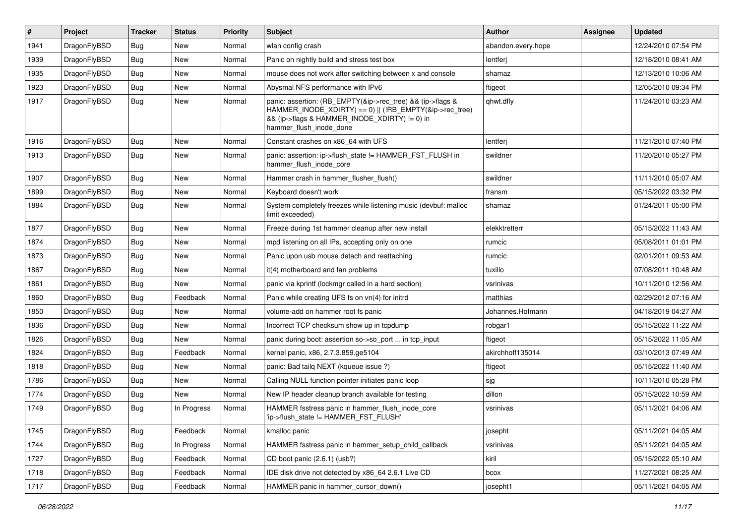| #    | Project      | <b>Tracker</b> | <b>Status</b> | <b>Priority</b> | <b>Subject</b>                                                                                                                                                                                    | <b>Author</b>      | Assignee | <b>Updated</b>      |
|------|--------------|----------------|---------------|-----------------|---------------------------------------------------------------------------------------------------------------------------------------------------------------------------------------------------|--------------------|----------|---------------------|
| 1941 | DragonFlyBSD | <b>Bug</b>     | <b>New</b>    | Normal          | wlan config crash                                                                                                                                                                                 | abandon.every.hope |          | 12/24/2010 07:54 PM |
| 1939 | DragonFlyBSD | <b>Bug</b>     | New           | Normal          | Panic on nightly build and stress test box                                                                                                                                                        | lentferj           |          | 12/18/2010 08:41 AM |
| 1935 | DragonFlyBSD | <b>Bug</b>     | New           | Normal          | mouse does not work after switching between x and console                                                                                                                                         | shamaz             |          | 12/13/2010 10:06 AM |
| 1923 | DragonFlyBSD | Bug            | New           | Normal          | Abysmal NFS performance with IPv6                                                                                                                                                                 | ftigeot            |          | 12/05/2010 09:34 PM |
| 1917 | DragonFlyBSD | Bug            | New           | Normal          | panic: assertion: (RB_EMPTY(&ip->rec_tree) && (ip->flags &<br>HAMMER_INODE_XDIRTY) == 0)    (!RB_EMPTY(&ip->rec_tree)<br>&& (ip->flags & HAMMER_INODE_XDIRTY) != 0) in<br>hammer_flush_inode_done | qhwt.dfly          |          | 11/24/2010 03:23 AM |
| 1916 | DragonFlyBSD | Bug            | New           | Normal          | Constant crashes on x86 64 with UFS                                                                                                                                                               | lentferj           |          | 11/21/2010 07:40 PM |
| 1913 | DragonFlyBSD | Bug            | New           | Normal          | panic: assertion: ip->flush_state != HAMMER_FST_FLUSH in<br>hammer_flush_inode_core                                                                                                               | swildner           |          | 11/20/2010 05:27 PM |
| 1907 | DragonFlyBSD | <b>Bug</b>     | New           | Normal          | Hammer crash in hammer_flusher_flush()                                                                                                                                                            | swildner           |          | 11/11/2010 05:07 AM |
| 1899 | DragonFlyBSD | <b>Bug</b>     | <b>New</b>    | Normal          | Keyboard doesn't work                                                                                                                                                                             | fransm             |          | 05/15/2022 03:32 PM |
| 1884 | DragonFlyBSD | <b>Bug</b>     | New           | Normal          | System completely freezes while listening music (devbuf: malloc<br>limit exceeded)                                                                                                                | shamaz             |          | 01/24/2011 05:00 PM |
| 1877 | DragonFlyBSD | <b>Bug</b>     | New           | Normal          | Freeze during 1st hammer cleanup after new install                                                                                                                                                | elekktretterr      |          | 05/15/2022 11:43 AM |
| 1874 | DragonFlyBSD | <b>Bug</b>     | New           | Normal          | mpd listening on all IPs, accepting only on one                                                                                                                                                   | rumcic             |          | 05/08/2011 01:01 PM |
| 1873 | DragonFlyBSD | <b>Bug</b>     | New           | Normal          | Panic upon usb mouse detach and reattaching                                                                                                                                                       | rumcic             |          | 02/01/2011 09:53 AM |
| 1867 | DragonFlyBSD | Bug            | New           | Normal          | it(4) motherboard and fan problems                                                                                                                                                                | tuxillo            |          | 07/08/2011 10:48 AM |
| 1861 | DragonFlyBSD | Bug            | New           | Normal          | panic via kprintf (lockmgr called in a hard section)                                                                                                                                              | vsrinivas          |          | 10/11/2010 12:56 AM |
| 1860 | DragonFlyBSD | <b>Bug</b>     | Feedback      | Normal          | Panic while creating UFS fs on vn(4) for initrd                                                                                                                                                   | matthias           |          | 02/29/2012 07:16 AM |
| 1850 | DragonFlyBSD | <b>Bug</b>     | New           | Normal          | volume-add on hammer root fs panic                                                                                                                                                                | Johannes.Hofmann   |          | 04/18/2019 04:27 AM |
| 1836 | DragonFlyBSD | <b>Bug</b>     | <b>New</b>    | Normal          | Incorrect TCP checksum show up in tcpdump                                                                                                                                                         | robgar1            |          | 05/15/2022 11:22 AM |
| 1826 | DragonFlyBSD | <b>Bug</b>     | New           | Normal          | panic during boot: assertion so->so port  in tcp input                                                                                                                                            | ftigeot            |          | 05/15/2022 11:05 AM |
| 1824 | DragonFlyBSD | <b>Bug</b>     | Feedback      | Normal          | kernel panic, x86, 2.7.3.859.ge5104                                                                                                                                                               | akirchhoff135014   |          | 03/10/2013 07:49 AM |
| 1818 | DragonFlyBSD | <b>Bug</b>     | New           | Normal          | panic: Bad tailg NEXT (kqueue issue ?)                                                                                                                                                            | ftigeot            |          | 05/15/2022 11:40 AM |
| 1786 | DragonFlyBSD | <b>Bug</b>     | New           | Normal          | Calling NULL function pointer initiates panic loop                                                                                                                                                | sjg                |          | 10/11/2010 05:28 PM |
| 1774 | DragonFlyBSD | Bug            | New           | Normal          | New IP header cleanup branch available for testing                                                                                                                                                | dillon             |          | 05/15/2022 10:59 AM |
| 1749 | DragonFlyBSD | <b>Bug</b>     | In Progress   | Normal          | HAMMER fsstress panic in hammer_flush_inode_core<br>'ip->flush state != HAMMER FST FLUSH'                                                                                                         | vsrinivas          |          | 05/11/2021 04:06 AM |
| 1745 | DragonFlyBSD | Bug            | Feedback      | Normal          | kmalloc panic                                                                                                                                                                                     | josepht            |          | 05/11/2021 04:05 AM |
| 1744 | DragonFlyBSD | <b>Bug</b>     | In Progress   | Normal          | HAMMER fsstress panic in hammer_setup_child_callback                                                                                                                                              | vsrinivas          |          | 05/11/2021 04:05 AM |
| 1727 | DragonFlyBSD | <b>Bug</b>     | Feedback      | Normal          | CD boot panic (2.6.1) (usb?)                                                                                                                                                                      | kiril              |          | 05/15/2022 05:10 AM |
| 1718 | DragonFlyBSD | <b>Bug</b>     | Feedback      | Normal          | IDE disk drive not detected by x86_64 2.6.1 Live CD                                                                                                                                               | bcox               |          | 11/27/2021 08:25 AM |
| 1717 | DragonFlyBSD | <b>Bug</b>     | Feedback      | Normal          | HAMMER panic in hammer cursor down()                                                                                                                                                              | josepht1           |          | 05/11/2021 04:05 AM |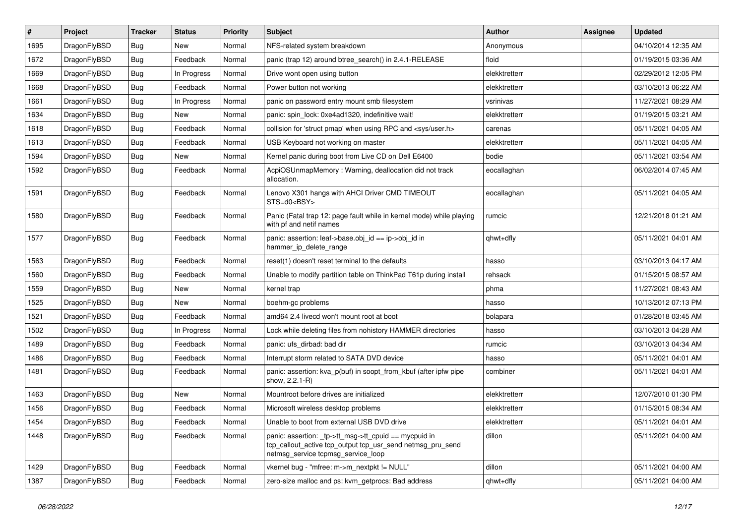| #    | Project      | <b>Tracker</b> | <b>Status</b> | <b>Priority</b> | Subject                                                                                                                                                  | Author        | Assignee | <b>Updated</b>      |
|------|--------------|----------------|---------------|-----------------|----------------------------------------------------------------------------------------------------------------------------------------------------------|---------------|----------|---------------------|
| 1695 | DragonFlyBSD | <b>Bug</b>     | New           | Normal          | NFS-related system breakdown                                                                                                                             | Anonymous     |          | 04/10/2014 12:35 AM |
| 1672 | DragonFlyBSD | Bug            | Feedback      | Normal          | panic (trap 12) around btree_search() in 2.4.1-RELEASE                                                                                                   | floid         |          | 01/19/2015 03:36 AM |
| 1669 | DragonFlyBSD | <b>Bug</b>     | In Progress   | Normal          | Drive wont open using button                                                                                                                             | elekktretterr |          | 02/29/2012 12:05 PM |
| 1668 | DragonFlyBSD | <b>Bug</b>     | Feedback      | Normal          | Power button not working                                                                                                                                 | elekktretterr |          | 03/10/2013 06:22 AM |
| 1661 | DragonFlyBSD | <b>Bug</b>     | In Progress   | Normal          | panic on password entry mount smb filesystem                                                                                                             | vsrinivas     |          | 11/27/2021 08:29 AM |
| 1634 | DragonFlyBSD | Bug            | New           | Normal          | panic: spin lock: 0xe4ad1320, indefinitive wait!                                                                                                         | elekktretterr |          | 01/19/2015 03:21 AM |
| 1618 | DragonFlyBSD | <b>Bug</b>     | Feedback      | Normal          | collision for 'struct pmap' when using RPC and <sys user.h=""></sys>                                                                                     | carenas       |          | 05/11/2021 04:05 AM |
| 1613 | DragonFlyBSD | <b>Bug</b>     | Feedback      | Normal          | USB Keyboard not working on master                                                                                                                       | elekktretterr |          | 05/11/2021 04:05 AM |
| 1594 | DragonFlyBSD | <b>Bug</b>     | New           | Normal          | Kernel panic during boot from Live CD on Dell E6400                                                                                                      | bodie         |          | 05/11/2021 03:54 AM |
| 1592 | DragonFlyBSD | Bug            | Feedback      | Normal          | AcpiOSUnmapMemory: Warning, deallocation did not track<br>allocation.                                                                                    | eocallaghan   |          | 06/02/2014 07:45 AM |
| 1591 | DragonFlyBSD | Bug            | Feedback      | Normal          | Lenovo X301 hangs with AHCI Driver CMD TIMEOUT<br>STS=d0 <bsy></bsy>                                                                                     | eocallaghan   |          | 05/11/2021 04:05 AM |
| 1580 | DragonFlyBSD | Bug            | Feedback      | Normal          | Panic (Fatal trap 12: page fault while in kernel mode) while playing<br>with pf and netif names                                                          | rumcic        |          | 12/21/2018 01:21 AM |
| 1577 | DragonFlyBSD | Bug            | Feedback      | Normal          | panic: assertion: leaf->base.obj_id == ip->obj_id in<br>hammer_ip_delete_range                                                                           | qhwt+dfly     |          | 05/11/2021 04:01 AM |
| 1563 | DragonFlyBSD | Bug            | Feedback      | Normal          | reset(1) doesn't reset terminal to the defaults                                                                                                          | hasso         |          | 03/10/2013 04:17 AM |
| 1560 | DragonFlyBSD | <b>Bug</b>     | Feedback      | Normal          | Unable to modify partition table on ThinkPad T61p during install                                                                                         | rehsack       |          | 01/15/2015 08:57 AM |
| 1559 | DragonFlyBSD | <b>Bug</b>     | New           | Normal          | kernel trap                                                                                                                                              | phma          |          | 11/27/2021 08:43 AM |
| 1525 | DragonFlyBSD | <b>Bug</b>     | New           | Normal          | boehm-gc problems                                                                                                                                        | hasso         |          | 10/13/2012 07:13 PM |
| 1521 | DragonFlyBSD | <b>Bug</b>     | Feedback      | Normal          | amd64 2.4 livecd won't mount root at boot                                                                                                                | bolapara      |          | 01/28/2018 03:45 AM |
| 1502 | DragonFlyBSD | <b>Bug</b>     | In Progress   | Normal          | Lock while deleting files from nohistory HAMMER directories                                                                                              | hasso         |          | 03/10/2013 04:28 AM |
| 1489 | DragonFlyBSD | <b>Bug</b>     | Feedback      | Normal          | panic: ufs_dirbad: bad dir                                                                                                                               | rumcic        |          | 03/10/2013 04:34 AM |
| 1486 | DragonFlyBSD | <b>Bug</b>     | Feedback      | Normal          | Interrupt storm related to SATA DVD device                                                                                                               | hasso         |          | 05/11/2021 04:01 AM |
| 1481 | DragonFlyBSD | Bug            | Feedback      | Normal          | panic: assertion: kva_p(buf) in soopt_from_kbuf (after ipfw pipe<br>show, 2.2.1-R)                                                                       | combiner      |          | 05/11/2021 04:01 AM |
| 1463 | DragonFlyBSD | <b>Bug</b>     | New           | Normal          | Mountroot before drives are initialized                                                                                                                  | elekktretterr |          | 12/07/2010 01:30 PM |
| 1456 | DragonFlyBSD | <b>Bug</b>     | Feedback      | Normal          | Microsoft wireless desktop problems                                                                                                                      | elekktretterr |          | 01/15/2015 08:34 AM |
| 1454 | DragonFlyBSD | <b>Bug</b>     | Feedback      | Normal          | Unable to boot from external USB DVD drive                                                                                                               | elekktretterr |          | 05/11/2021 04:01 AM |
| 1448 | DragonFlyBSD | <b>Bug</b>     | Feedback      | Normal          | panic: assertion: tp->tt_msg->tt_cpuid == mycpuid in<br>tcp_callout_active tcp_output tcp_usr_send netmsg_pru_send<br>netmsg_service tcpmsg_service_loop | dillon        |          | 05/11/2021 04:00 AM |
| 1429 | DragonFlyBSD | <b>Bug</b>     | Feedback      | Normal          | vkernel bug - "mfree: m->m_nextpkt != NULL"                                                                                                              | dillon        |          | 05/11/2021 04:00 AM |
| 1387 | DragonFlyBSD | <b>Bug</b>     | Feedback      | Normal          | zero-size malloc and ps: kvm getprocs: Bad address                                                                                                       | qhwt+dfly     |          | 05/11/2021 04:00 AM |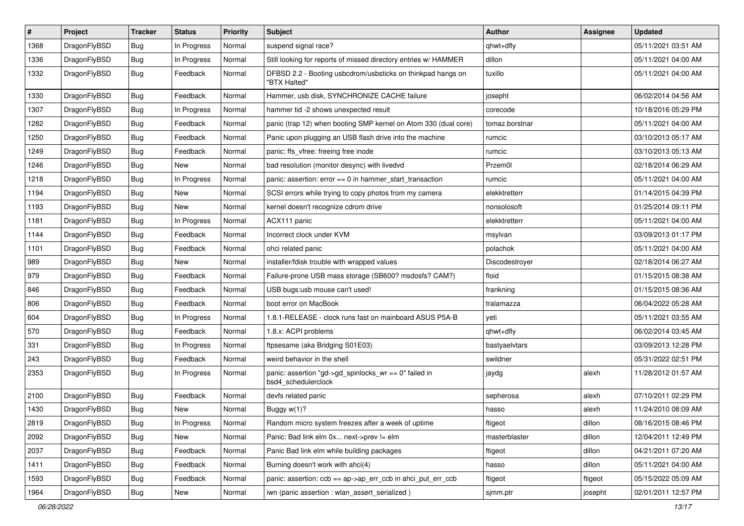| #    | Project      | <b>Tracker</b> | <b>Status</b> | <b>Priority</b> | Subject                                                                      | Author         | Assignee | <b>Updated</b>      |
|------|--------------|----------------|---------------|-----------------|------------------------------------------------------------------------------|----------------|----------|---------------------|
| 1368 | DragonFlyBSD | <b>Bug</b>     | In Progress   | Normal          | suspend signal race?                                                         | qhwt+dfly      |          | 05/11/2021 03:51 AM |
| 1336 | DragonFlyBSD | <b>Bug</b>     | In Progress   | Normal          | Still looking for reports of missed directory entries w/ HAMMER              | dillon         |          | 05/11/2021 04:00 AM |
| 1332 | DragonFlyBSD | <b>Bug</b>     | Feedback      | Normal          | DFBSD 2.2 - Booting usbcdrom/usbsticks on thinkpad hangs on<br>"BTX Halted"  | tuxillo        |          | 05/11/2021 04:00 AM |
| 1330 | DragonFlyBSD | <b>Bug</b>     | Feedback      | Normal          | Hammer, usb disk, SYNCHRONIZE CACHE failure                                  | josepht        |          | 06/02/2014 04:56 AM |
| 1307 | DragonFlyBSD | <b>Bug</b>     | In Progress   | Normal          | hammer tid -2 shows unexpected result                                        | corecode       |          | 10/18/2016 05:29 PM |
| 1282 | DragonFlyBSD | <b>Bug</b>     | Feedback      | Normal          | panic (trap 12) when booting SMP kernel on Atom 330 (dual core)              | tomaz.borstnar |          | 05/11/2021 04:00 AM |
| 1250 | DragonFlyBSD | <b>Bug</b>     | Feedback      | Normal          | Panic upon plugging an USB flash drive into the machine                      | rumcic         |          | 03/10/2013 05:17 AM |
| 1249 | DragonFlyBSD | <b>Bug</b>     | Feedback      | Normal          | panic: ffs_vfree: freeing free inode                                         | rumcic         |          | 03/10/2013 05:13 AM |
| 1246 | DragonFlyBSD | <b>Bug</b>     | <b>New</b>    | Normal          | bad resolution (monitor desync) with livedvd                                 | Przem0l        |          | 02/18/2014 06:29 AM |
| 1218 | DragonFlyBSD | <b>Bug</b>     | In Progress   | Normal          | panic: assertion: $error == 0$ in hammer start transaction                   | rumcic         |          | 05/11/2021 04:00 AM |
| 1194 | DragonFlyBSD | <b>Bug</b>     | <b>New</b>    | Normal          | SCSI errors while trying to copy photos from my camera                       | elekktretterr  |          | 01/14/2015 04:39 PM |
| 1193 | DragonFlyBSD | <b>Bug</b>     | <b>New</b>    | Normal          | kernel doesn't recognize cdrom drive                                         | nonsolosoft    |          | 01/25/2014 09:11 PM |
| 1181 | DragonFlyBSD | <b>Bug</b>     | In Progress   | Normal          | ACX111 panic                                                                 | elekktretterr  |          | 05/11/2021 04:00 AM |
| 1144 | DragonFlyBSD | <b>Bug</b>     | Feedback      | Normal          | Incorrect clock under KVM                                                    | msylvan        |          | 03/09/2013 01:17 PM |
| 1101 | DragonFlyBSD | <b>Bug</b>     | Feedback      | Normal          | ohci related panic                                                           | polachok       |          | 05/11/2021 04:00 AM |
| 989  | DragonFlyBSD | <b>Bug</b>     | <b>New</b>    | Normal          | installer/fdisk trouble with wrapped values                                  | Discodestroyer |          | 02/18/2014 06:27 AM |
| 979  | DragonFlyBSD | <b>Bug</b>     | Feedback      | Normal          | Failure-prone USB mass storage (SB600? msdosfs? CAM?)                        | floid          |          | 01/15/2015 08:38 AM |
| 846  | DragonFlyBSD | <b>Bug</b>     | Feedback      | Normal          | USB bugs:usb mouse can't used!                                               | frankning      |          | 01/15/2015 08:36 AM |
| 806  | DragonFlyBSD | <b>Bug</b>     | Feedback      | Normal          | boot error on MacBook                                                        | tralamazza     |          | 06/04/2022 05:28 AM |
| 604  | DragonFlyBSD | <b>Bug</b>     | In Progress   | Normal          | 1.8.1-RELEASE - clock runs fast on mainboard ASUS P5A-B                      | yeti           |          | 05/11/2021 03:55 AM |
| 570  | DragonFlyBSD | <b>Bug</b>     | Feedback      | Normal          | 1.8.x: ACPI problems                                                         | qhwt+dfly      |          | 06/02/2014 03:45 AM |
| 331  | DragonFlyBSD | <b>Bug</b>     | In Progress   | Normal          | ftpsesame (aka Bridging S01E03)                                              | bastyaelvtars  |          | 03/09/2013 12:28 PM |
| 243  | DragonFlyBSD | <b>Bug</b>     | Feedback      | Normal          | weird behavior in the shell                                                  | swildner       |          | 05/31/2022 02:51 PM |
| 2353 | DragonFlyBSD | <b>Bug</b>     | In Progress   | Normal          | panic: assertion "gd->gd_spinlocks_wr == 0" failed in<br>bsd4_schedulerclock | jaydg          | alexh    | 11/28/2012 01:57 AM |
| 2100 | DragonFlyBSD | <b>Bug</b>     | Feedback      | Normal          | devfs related panic                                                          | sepherosa      | alexh    | 07/10/2011 02:29 PM |
| 1430 | DragonFlyBSD | <b>Bug</b>     | New           | Normal          | Buggy w(1)?                                                                  | hasso          | alexh    | 11/24/2010 08:09 AM |
| 2819 | DragonFlyBSD | <b>Bug</b>     | In Progress   | Normal          | Random micro system freezes after a week of uptime                           | ftigeot        | dillon   | 08/16/2015 08:46 PM |
| 2092 | DragonFlyBSD | <b>Bug</b>     | New           | Normal          | Panic: Bad link elm 0x next->prev != elm                                     | masterblaster  | dillon   | 12/04/2011 12:49 PM |
| 2037 | DragonFlyBSD | <b>Bug</b>     | Feedback      | Normal          | Panic Bad link elm while building packages                                   | ftigeot        | dillon   | 04/21/2011 07:20 AM |
| 1411 | DragonFlyBSD | <b>Bug</b>     | Feedback      | Normal          | Burning doesn't work with ahci(4)                                            | hasso          | dillon   | 05/11/2021 04:00 AM |
| 1593 | DragonFlyBSD | <b>Bug</b>     | Feedback      | Normal          | panic: assertion: ccb == ap->ap_err_ccb in ahci_put_err_ccb                  | ftigeot        | ftigeot  | 05/15/2022 05:09 AM |
| 1964 | DragonFlyBSD | <b>Bug</b>     | New           | Normal          | iwn (panic assertion : wlan_assert_serialized)                               | sjmm.ptr       | josepht  | 02/01/2011 12:57 PM |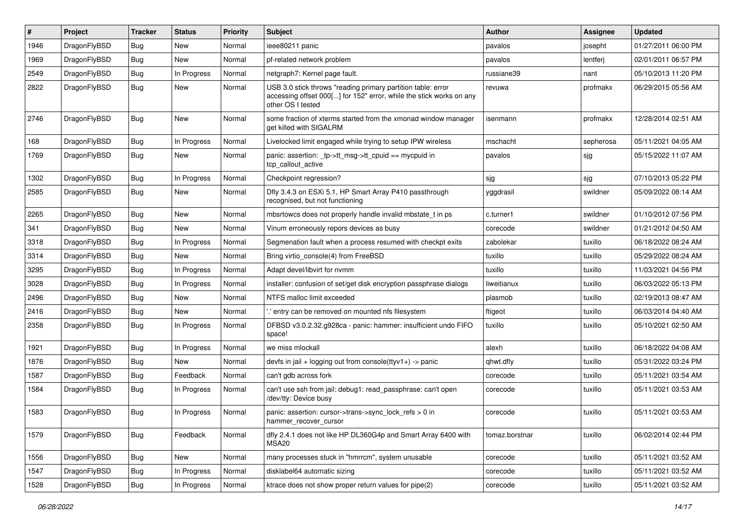| #    | Project      | <b>Tracker</b> | <b>Status</b> | <b>Priority</b> | Subject                                                                                                                                                  | <b>Author</b>  | Assignee  | <b>Updated</b>      |
|------|--------------|----------------|---------------|-----------------|----------------------------------------------------------------------------------------------------------------------------------------------------------|----------------|-----------|---------------------|
| 1946 | DragonFlyBSD | <b>Bug</b>     | <b>New</b>    | Normal          | ieee80211 panic                                                                                                                                          | pavalos        | josepht   | 01/27/2011 06:00 PM |
| 1969 | DragonFlyBSD | <b>Bug</b>     | <b>New</b>    | Normal          | pf-related network problem                                                                                                                               | pavalos        | lentferj  | 02/01/2011 06:57 PM |
| 2549 | DragonFlyBSD | <b>Bug</b>     | In Progress   | Normal          | netgraph7: Kernel page fault.                                                                                                                            | russiane39     | nant      | 05/10/2013 11:20 PM |
| 2822 | DragonFlyBSD | Bug            | New           | Normal          | USB 3.0 stick throws "reading primary partition table: error<br>accessing offset 000[] for 152" error, while the stick works on any<br>other OS I tested | revuwa         | profmakx  | 06/29/2015 05:56 AM |
| 2746 | DragonFlyBSD | Bug            | <b>New</b>    | Normal          | some fraction of xterms started from the xmonad window manager<br>get killed with SIGALRM                                                                | isenmann       | profmakx  | 12/28/2014 02:51 AM |
| 168  | DragonFlyBSD | <b>Bug</b>     | In Progress   | Normal          | Livelocked limit engaged while trying to setup IPW wireless                                                                                              | mschacht       | sepherosa | 05/11/2021 04:05 AM |
| 1769 | DragonFlyBSD | Bug            | New           | Normal          | panic: assertion: _tp->tt_msg->tt_cpuid == mycpuid in<br>tcp callout active                                                                              | pavalos        | sjg       | 05/15/2022 11:07 AM |
| 1302 | DragonFlyBSD | <b>Bug</b>     | In Progress   | Normal          | Checkpoint regression?                                                                                                                                   | sjg            | sjg       | 07/10/2013 05:22 PM |
| 2585 | DragonFlyBSD | <b>Bug</b>     | <b>New</b>    | Normal          | Dfly 3.4.3 on ESXi 5.1, HP Smart Array P410 passthrough<br>recognised, but not functioning                                                               | yggdrasil      | swildner  | 05/09/2022 08:14 AM |
| 2265 | DragonFlyBSD | Bug            | <b>New</b>    | Normal          | mbsrtowcs does not properly handle invalid mbstate_t in ps                                                                                               | c.turner1      | swildner  | 01/10/2012 07:56 PM |
| 341  | DragonFlyBSD | <b>Bug</b>     | New           | Normal          | Vinum erroneously repors devices as busy                                                                                                                 | corecode       | swildner  | 01/21/2012 04:50 AM |
| 3318 | DragonFlyBSD | <b>Bug</b>     | In Progress   | Normal          | Segmenation fault when a process resumed with checkpt exits                                                                                              | zabolekar      | tuxillo   | 06/18/2022 08:24 AM |
| 3314 | DragonFlyBSD | <b>Bug</b>     | New           | Normal          | Bring virtio_console(4) from FreeBSD                                                                                                                     | tuxillo        | tuxillo   | 05/29/2022 08:24 AM |
| 3295 | DragonFlyBSD | <b>Bug</b>     | In Progress   | Normal          | Adapt devel/libvirt for nvmm                                                                                                                             | tuxillo        | tuxillo   | 11/03/2021 04:56 PM |
| 3028 | DragonFlyBSD | Bug            | In Progress   | Normal          | installer: confusion of set/get disk encryption passphrase dialogs                                                                                       | liweitianux    | tuxillo   | 06/03/2022 05:13 PM |
| 2496 | DragonFlyBSD | <b>Bug</b>     | <b>New</b>    | Normal          | NTFS malloc limit exceeded                                                                                                                               | plasmob        | tuxillo   | 02/19/2013 08:47 AM |
| 2416 | DragonFlyBSD | <b>Bug</b>     | New           | Normal          | ".' entry can be removed on mounted nfs filesystem                                                                                                       | ftigeot        | tuxillo   | 06/03/2014 04:40 AM |
| 2358 | DragonFlyBSD | <b>Bug</b>     | In Progress   | Normal          | DFBSD v3.0.2.32.g928ca - panic: hammer: insufficient undo FIFO<br>space!                                                                                 | tuxillo        | tuxillo   | 05/10/2021 02:50 AM |
| 1921 | DragonFlyBSD | <b>Bug</b>     | In Progress   | Normal          | we miss mlockall                                                                                                                                         | alexh          | tuxillo   | 06/18/2022 04:08 AM |
| 1876 | DragonFlyBSD | Bug            | <b>New</b>    | Normal          | devfs in jail + logging out from console(ttyv1+) -> panic                                                                                                | qhwt.dfly      | tuxillo   | 05/31/2022 03:24 PM |
| 1587 | DragonFlyBSD | <b>Bug</b>     | Feedback      | Normal          | can't gdb across fork                                                                                                                                    | corecode       | tuxillo   | 05/11/2021 03:54 AM |
| 1584 | DragonFlyBSD | <b>Bug</b>     | In Progress   | Normal          | can't use ssh from jail: debug1: read_passphrase: can't open<br>/dev/tty: Device busy                                                                    | corecode       | tuxillo   | 05/11/2021 03:53 AM |
| 1583 | DragonFlyBSD | <b>Bug</b>     | In Progress   | Normal          | panic: assertion: cursor->trans->sync_lock_refs > 0 in<br>hammer_recover_cursor                                                                          | corecode       | tuxillo   | 05/11/2021 03:53 AM |
| 1579 | DragonFlyBSD | Bug            | Feedback      | Normal          | dfly 2.4.1 does not like HP DL360G4p and Smart Array 6400 with<br>MSA20                                                                                  | tomaz.borstnar | tuxillo   | 06/02/2014 02:44 PM |
| 1556 | DragonFlyBSD | Bug            | New           | Normal          | many processes stuck in "hmrrcm", system unusable                                                                                                        | corecode       | tuxillo   | 05/11/2021 03:52 AM |
| 1547 | DragonFlyBSD | <b>Bug</b>     | In Progress   | Normal          | disklabel64 automatic sizing                                                                                                                             | corecode       | tuxillo   | 05/11/2021 03:52 AM |
| 1528 | DragonFlyBSD | <b>Bug</b>     | In Progress   | Normal          | ktrace does not show proper return values for pipe(2)                                                                                                    | corecode       | tuxillo   | 05/11/2021 03:52 AM |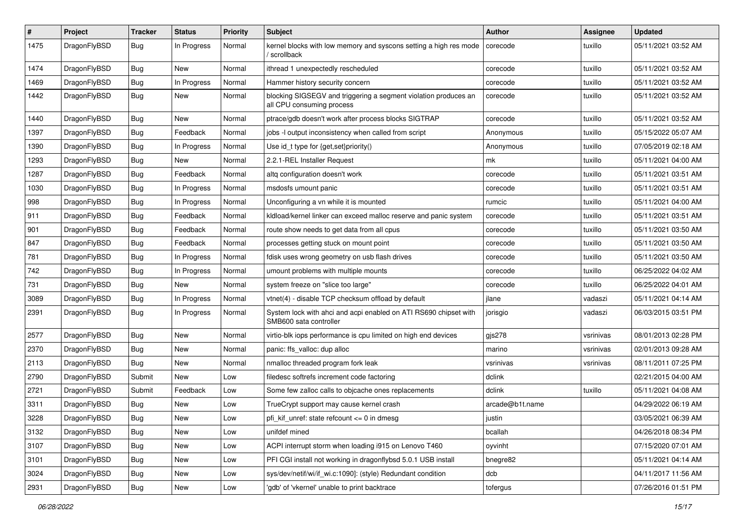| #    | Project      | <b>Tracker</b> | <b>Status</b> | <b>Priority</b> | Subject                                                                                      | Author          | Assignee  | <b>Updated</b>      |
|------|--------------|----------------|---------------|-----------------|----------------------------------------------------------------------------------------------|-----------------|-----------|---------------------|
| 1475 | DragonFlyBSD | <b>Bug</b>     | In Progress   | Normal          | kernel blocks with low memory and syscons setting a high res mode<br>/ scrollback            | corecode        | tuxillo   | 05/11/2021 03:52 AM |
| 1474 | DragonFlyBSD | <b>Bug</b>     | New           | Normal          | ithread 1 unexpectedly rescheduled                                                           | corecode        | tuxillo   | 05/11/2021 03:52 AM |
| 1469 | DragonFlyBSD | Bug            | In Progress   | Normal          | Hammer history security concern                                                              | corecode        | tuxillo   | 05/11/2021 03:52 AM |
| 1442 | DragonFlyBSD | <b>Bug</b>     | New           | Normal          | blocking SIGSEGV and triggering a segment violation produces an<br>all CPU consuming process | corecode        | tuxillo   | 05/11/2021 03:52 AM |
| 1440 | DragonFlyBSD | Bug            | New           | Normal          | ptrace/gdb doesn't work after process blocks SIGTRAP                                         | corecode        | tuxillo   | 05/11/2021 03:52 AM |
| 1397 | DragonFlyBSD | Bug            | Feedback      | Normal          | jobs -I output inconsistency when called from script                                         | Anonymous       | tuxillo   | 05/15/2022 05:07 AM |
| 1390 | DragonFlyBSD | Bug            | In Progress   | Normal          | Use id_t type for {get,set}priority()                                                        | Anonymous       | tuxillo   | 07/05/2019 02:18 AM |
| 1293 | DragonFlyBSD | Bug            | New           | Normal          | 2.2.1-REL Installer Request                                                                  | mk              | tuxillo   | 05/11/2021 04:00 AM |
| 1287 | DragonFlyBSD | Bug            | Feedback      | Normal          | altg configuration doesn't work                                                              | corecode        | tuxillo   | 05/11/2021 03:51 AM |
| 1030 | DragonFlyBSD | Bug            | In Progress   | Normal          | msdosfs umount panic                                                                         | corecode        | tuxillo   | 05/11/2021 03:51 AM |
| 998  | DragonFlyBSD | Bug            | In Progress   | Normal          | Unconfiguring a vn while it is mounted                                                       | rumcic          | tuxillo   | 05/11/2021 04:00 AM |
| 911  | DragonFlyBSD | Bug            | Feedback      | Normal          | kldload/kernel linker can exceed malloc reserve and panic system                             | corecode        | tuxillo   | 05/11/2021 03:51 AM |
| 901  | DragonFlyBSD | <b>Bug</b>     | Feedback      | Normal          | route show needs to get data from all cpus                                                   | corecode        | tuxillo   | 05/11/2021 03:50 AM |
| 847  | DragonFlyBSD | <b>Bug</b>     | Feedback      | Normal          | processes getting stuck on mount point                                                       | corecode        | tuxillo   | 05/11/2021 03:50 AM |
| 781  | DragonFlyBSD | Bug            | In Progress   | Normal          | fdisk uses wrong geometry on usb flash drives                                                | corecode        | tuxillo   | 05/11/2021 03:50 AM |
| 742  | DragonFlyBSD | Bug            | In Progress   | Normal          | umount problems with multiple mounts                                                         | corecode        | tuxillo   | 06/25/2022 04:02 AM |
| 731  | DragonFlyBSD | <b>Bug</b>     | New           | Normal          | system freeze on "slice too large"                                                           | corecode        | tuxillo   | 06/25/2022 04:01 AM |
| 3089 | DragonFlyBSD | Bug            | In Progress   | Normal          | vtnet(4) - disable TCP checksum offload by default                                           | jlane           | vadaszi   | 05/11/2021 04:14 AM |
| 2391 | DragonFlyBSD | Bug            | In Progress   | Normal          | System lock with ahci and acpi enabled on ATI RS690 chipset with<br>SMB600 sata controller   | jorisgio        | vadaszi   | 06/03/2015 03:51 PM |
| 2577 | DragonFlyBSD | Bug            | <b>New</b>    | Normal          | virtio-blk iops performance is cpu limited on high end devices                               | gjs278          | vsrinivas | 08/01/2013 02:28 PM |
| 2370 | DragonFlyBSD | Bug            | New           | Normal          | panic: ffs_valloc: dup alloc                                                                 | marino          | vsrinivas | 02/01/2013 09:28 AM |
| 2113 | DragonFlyBSD | <b>Bug</b>     | New           | Normal          | nmalloc threaded program fork leak                                                           | vsrinivas       | vsrinivas | 08/11/2011 07:25 PM |
| 2790 | DragonFlyBSD | Submit         | New           | Low             | filedesc softrefs increment code factoring                                                   | dclink          |           | 02/21/2015 04:00 AM |
| 2721 | DragonFlyBSD | Submit         | Feedback      | Low             | Some few zalloc calls to objcache ones replacements                                          | dclink          | tuxillo   | 05/11/2021 04:08 AM |
| 3311 | DragonFlyBSD | <b>Bug</b>     | New           | Low             | TrueCrypt support may cause kernel crash                                                     | arcade@b1t.name |           | 04/29/2022 06:19 AM |
| 3228 | DragonFlyBSD | Bug            | <b>New</b>    | Low             | pfi_kif_unref: state refcount <= 0 in dmesg                                                  | justin          |           | 03/05/2021 06:39 AM |
| 3132 | DragonFlyBSD | <b>Bug</b>     | <b>New</b>    | Low             | unifdef mined                                                                                | bcallah         |           | 04/26/2018 08:34 PM |
| 3107 | DragonFlyBSD | <b>Bug</b>     | <b>New</b>    | Low             | ACPI interrupt storm when loading i915 on Lenovo T460                                        | oyvinht         |           | 07/15/2020 07:01 AM |
| 3101 | DragonFlyBSD | <b>Bug</b>     | <b>New</b>    | Low             | PFI CGI install not working in dragonflybsd 5.0.1 USB install                                | bnegre82        |           | 05/11/2021 04:14 AM |
| 3024 | DragonFlyBSD | <b>Bug</b>     | New           | Low             | sys/dev/netif/wi/if_wi.c:1090]: (style) Redundant condition                                  | dcb             |           | 04/11/2017 11:56 AM |
| 2931 | DragonFlyBSD | <b>Bug</b>     | New           | Low             | 'gdb' of 'vkernel' unable to print backtrace                                                 | tofergus        |           | 07/26/2016 01:51 PM |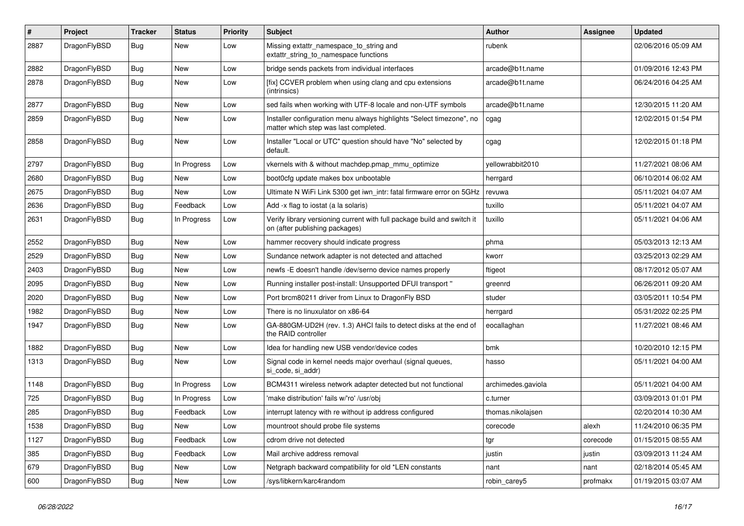| $\#$ | Project      | <b>Tracker</b> | <b>Status</b> | <b>Priority</b> | Subject                                                                                                       | <b>Author</b>      | Assignee | <b>Updated</b>      |
|------|--------------|----------------|---------------|-----------------|---------------------------------------------------------------------------------------------------------------|--------------------|----------|---------------------|
| 2887 | DragonFlyBSD | <b>Bug</b>     | New           | Low             | Missing extattr_namespace_to_string and<br>extattr_string_to_namespace functions                              | rubenk             |          | 02/06/2016 05:09 AM |
| 2882 | DragonFlyBSD | <b>Bug</b>     | <b>New</b>    | Low             | bridge sends packets from individual interfaces                                                               | arcade@b1t.name    |          | 01/09/2016 12:43 PM |
| 2878 | DragonFlyBSD | <b>Bug</b>     | New           | Low             | [fix] CCVER problem when using clang and cpu extensions<br>(intrinsics)                                       | arcade@b1t.name    |          | 06/24/2016 04:25 AM |
| 2877 | DragonFlyBSD | <b>Bug</b>     | New           | Low             | sed fails when working with UTF-8 locale and non-UTF symbols                                                  | arcade@b1t.name    |          | 12/30/2015 11:20 AM |
| 2859 | DragonFlyBSD | <b>Bug</b>     | New           | Low             | Installer configuration menu always highlights "Select timezone", no<br>matter which step was last completed. | cgag               |          | 12/02/2015 01:54 PM |
| 2858 | DragonFlyBSD | <b>Bug</b>     | New           | Low             | Installer "Local or UTC" question should have "No" selected by<br>default.                                    | cgag               |          | 12/02/2015 01:18 PM |
| 2797 | DragonFlyBSD | <b>Bug</b>     | In Progress   | Low             | vkernels with & without machdep.pmap_mmu_optimize                                                             | yellowrabbit2010   |          | 11/27/2021 08:06 AM |
| 2680 | DragonFlyBSD | <b>Bug</b>     | New           | Low             | boot0cfg update makes box unbootable                                                                          | herrgard           |          | 06/10/2014 06:02 AM |
| 2675 | DragonFlyBSD | <b>Bug</b>     | New           | Low             | Ultimate N WiFi Link 5300 get iwn_intr: fatal firmware error on 5GHz                                          | revuwa             |          | 05/11/2021 04:07 AM |
| 2636 | DragonFlyBSD | Bug            | Feedback      | Low             | Add -x flag to iostat (a la solaris)                                                                          | tuxillo            |          | 05/11/2021 04:07 AM |
| 2631 | DragonFlyBSD | Bug            | In Progress   | Low             | Verify library versioning current with full package build and switch it<br>on (after publishing packages)     | tuxillo            |          | 05/11/2021 04:06 AM |
| 2552 | DragonFlyBSD | Bug            | <b>New</b>    | Low             | hammer recovery should indicate progress                                                                      | phma               |          | 05/03/2013 12:13 AM |
| 2529 | DragonFlyBSD | Bug            | New           | Low             | Sundance network adapter is not detected and attached                                                         | kworr              |          | 03/25/2013 02:29 AM |
| 2403 | DragonFlyBSD | Bug            | <b>New</b>    | Low             | newfs -E doesn't handle /dev/serno device names properly                                                      | ftigeot            |          | 08/17/2012 05:07 AM |
| 2095 | DragonFlyBSD | Bug            | New           | Low             | Running installer post-install: Unsupported DFUI transport "                                                  | greenrd            |          | 06/26/2011 09:20 AM |
| 2020 | DragonFlyBSD | Bug            | New           | Low             | Port brcm80211 driver from Linux to DragonFly BSD                                                             | studer             |          | 03/05/2011 10:54 PM |
| 1982 | DragonFlyBSD | Bug            | New           | Low             | There is no linuxulator on x86-64                                                                             | herrgard           |          | 05/31/2022 02:25 PM |
| 1947 | DragonFlyBSD | Bug            | New           | Low             | GA-880GM-UD2H (rev. 1.3) AHCI fails to detect disks at the end of<br>the RAID controller                      | eocallaghan        |          | 11/27/2021 08:46 AM |
| 1882 | DragonFlyBSD | Bug            | New           | Low             | Idea for handling new USB vendor/device codes                                                                 | bmk                |          | 10/20/2010 12:15 PM |
| 1313 | DragonFlyBSD | Bug            | New           | Low             | Signal code in kernel needs major overhaul (signal queues,<br>si_code, si_addr)                               | hasso              |          | 05/11/2021 04:00 AM |
| 1148 | DragonFlyBSD | Bug            | In Progress   | Low             | BCM4311 wireless network adapter detected but not functional                                                  | archimedes.gaviola |          | 05/11/2021 04:00 AM |
| 725  | DragonFlyBSD | Bug            | In Progress   | Low             | 'make distribution' fails w/'ro' /usr/obj                                                                     | c.turner           |          | 03/09/2013 01:01 PM |
| 285  | DragonFlyBSD | Bug            | Feedback      | Low             | interrupt latency with re without ip address configured                                                       | thomas.nikolajsen  |          | 02/20/2014 10:30 AM |
| 1538 | DragonFlyBSD | <b>Bug</b>     | New           | Low             | mountroot should probe file systems                                                                           | corecode           | alexh    | 11/24/2010 06:35 PM |
| 1127 | DragonFlyBSD | <b>Bug</b>     | Feedback      | Low             | cdrom drive not detected                                                                                      | tgr                | corecode | 01/15/2015 08:55 AM |
| 385  | DragonFlyBSD | <b>Bug</b>     | Feedback      | Low             | Mail archive address removal                                                                                  | justin             | justin   | 03/09/2013 11:24 AM |
| 679  | DragonFlyBSD | <b>Bug</b>     | <b>New</b>    | Low             | Netgraph backward compatibility for old *LEN constants                                                        | nant               | nant     | 02/18/2014 05:45 AM |
| 600  | DragonFlyBSD | <b>Bug</b>     | New           | Low             | /sys/libkern/karc4random                                                                                      | robin_carey5       | profmakx | 01/19/2015 03:07 AM |